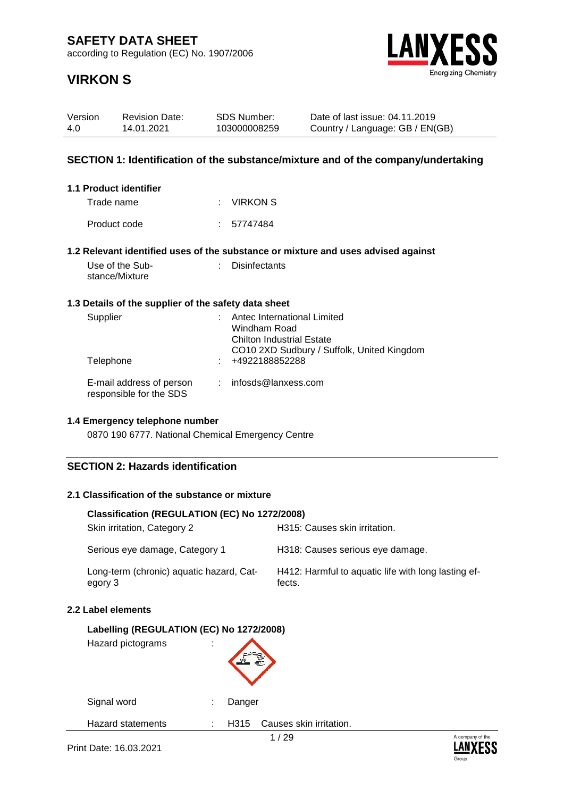according to Regulation (EC) No. 1907/2006

Revision Date: 14.01.2021



Date of last issue: 04.11.2019 Country / Language: GB / EN(GB)

# **VIRKON S**

Version 4.0

| SECTION 1: Identification of the substance/mixture and of the company/undertaking |    |                      |                                                                                                               |  |
|-----------------------------------------------------------------------------------|----|----------------------|---------------------------------------------------------------------------------------------------------------|--|
| 1.1 Product identifier<br>Trade name                                              |    | <b>VIRKON S</b>      |                                                                                                               |  |
| Product code                                                                      |    | 57747484             |                                                                                                               |  |
|                                                                                   |    |                      | 1.2 Relevant identified uses of the substance or mixture and uses advised against                             |  |
| Use of the Sub-<br>stance/Mixture                                                 |    | <b>Disinfectants</b> |                                                                                                               |  |
| 1.3 Details of the supplier of the safety data sheet                              |    |                      |                                                                                                               |  |
| Supplier                                                                          |    | Windham Road         | Antec International Limited<br><b>Chilton Industrial Estate</b><br>CO10 2XD Sudbury / Suffolk, United Kingdom |  |
| Telephone                                                                         |    | +4922188852288       |                                                                                                               |  |
| E-mail address of person<br>responsible for the SDS                               | ÷. |                      | infosds@lanxess.com                                                                                           |  |
| 1.4 Emergency telephone number                                                    |    |                      |                                                                                                               |  |
| 0870 190 6777. National Chemical Emergency Centre                                 |    |                      |                                                                                                               |  |
| <b>SECTION 2: Hazards identification</b>                                          |    |                      |                                                                                                               |  |
| 2.1 Classification of the substance or mixture                                    |    |                      |                                                                                                               |  |
| Classification (REGULATION (EC) No 1272/2008)                                     |    |                      |                                                                                                               |  |
| Skin irritation, Category 2                                                       |    |                      | H315: Causes skin irritation.                                                                                 |  |
| Serious eye damage, Category 1                                                    |    |                      | H318: Causes serious eye damage.                                                                              |  |
| Long-term (chronic) aquatic hazard, Cat-<br>egory 3                               |    |                      | H412: Harmful to aquatic life with long lasting ef-<br>fects.                                                 |  |

SDS Number: 103000008259

### **2.2 Label elements**

| Labelling (REGULATION (EC) No 1272/2008)<br>Hazard pictograms |                                      |      |
|---------------------------------------------------------------|--------------------------------------|------|
|                                                               |                                      |      |
| Signal word                                                   | Danger<br>÷                          |      |
| Hazard statements                                             | Causes skin irritation.<br>H315<br>÷ |      |
|                                                               | 1 / 29                               | A co |



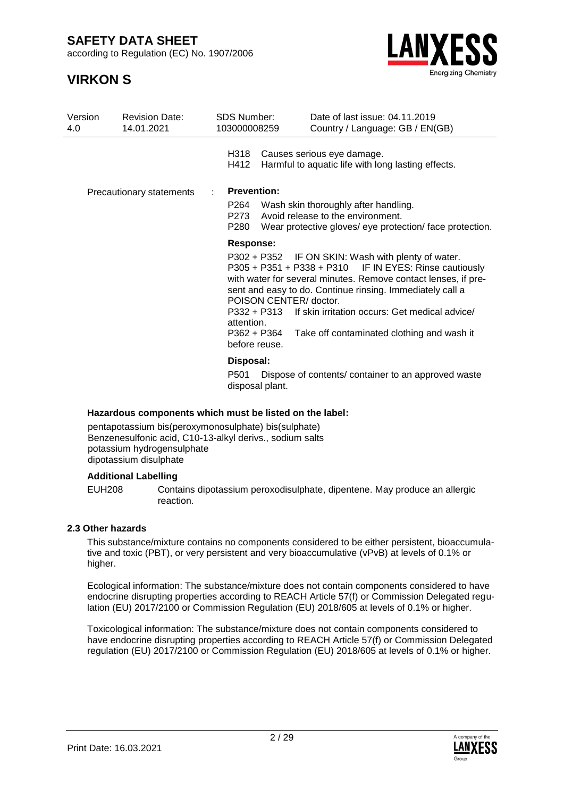according to Regulation (EC) No. 1907/2006

## **VIRKON S**



| Version<br>4.0                  | <b>Revision Date:</b><br>14.01.2021 | <b>SDS Number:</b><br>103000008259                             |                                       | Date of last issue: 04.11.2019<br>Country / Language: GB / EN(GB)                                                                                                                                                                                                                                                                           |
|---------------------------------|-------------------------------------|----------------------------------------------------------------|---------------------------------------|---------------------------------------------------------------------------------------------------------------------------------------------------------------------------------------------------------------------------------------------------------------------------------------------------------------------------------------------|
|                                 |                                     | H318<br>H412                                                   |                                       | Causes serious eye damage.<br>Harmful to aquatic life with long lasting effects.                                                                                                                                                                                                                                                            |
| <b>Precautionary statements</b> |                                     | <b>Prevention:</b>                                             |                                       |                                                                                                                                                                                                                                                                                                                                             |
|                                 |                                     | P264<br>P273<br>P280                                           |                                       | Wash skin thoroughly after handling.<br>Avoid release to the environment.<br>Wear protective gloves/ eye protection/ face protection.                                                                                                                                                                                                       |
|                                 |                                     | <b>Response:</b><br>attention.<br>P362 + P364<br>before reuse. | POISON CENTER/ doctor.<br>P332 + P313 | P302 + P352 IF ON SKIN: Wash with plenty of water.<br>P305 + P351 + P338 + P310 IF IN EYES: Rinse cautiously<br>with water for several minutes. Remove contact lenses, if pre-<br>sent and easy to do. Continue rinsing. Immediately call a<br>If skin irritation occurs: Get medical advice/<br>Take off contaminated clothing and wash it |
|                                 |                                     | Disposal:<br>P501<br>disposal plant.                           |                                       | Dispose of contents/container to an approved waste                                                                                                                                                                                                                                                                                          |

#### **Hazardous components which must be listed on the label:**

pentapotassium bis(peroxymonosulphate) bis(sulphate) Benzenesulfonic acid, C10-13-alkyl derivs., sodium salts potassium hydrogensulphate dipotassium disulphate

#### **Additional Labelling**

EUH208 Contains dipotassium peroxodisulphate, dipentene. May produce an allergic reaction.

#### **2.3 Other hazards**

This substance/mixture contains no components considered to be either persistent, bioaccumulative and toxic (PBT), or very persistent and very bioaccumulative (vPvB) at levels of 0.1% or higher.

Ecological information: The substance/mixture does not contain components considered to have endocrine disrupting properties according to REACH Article 57(f) or Commission Delegated regulation (EU) 2017/2100 or Commission Regulation (EU) 2018/605 at levels of 0.1% or higher.

Toxicological information: The substance/mixture does not contain components considered to have endocrine disrupting properties according to REACH Article 57(f) or Commission Delegated regulation (EU) 2017/2100 or Commission Regulation (EU) 2018/605 at levels of 0.1% or higher.

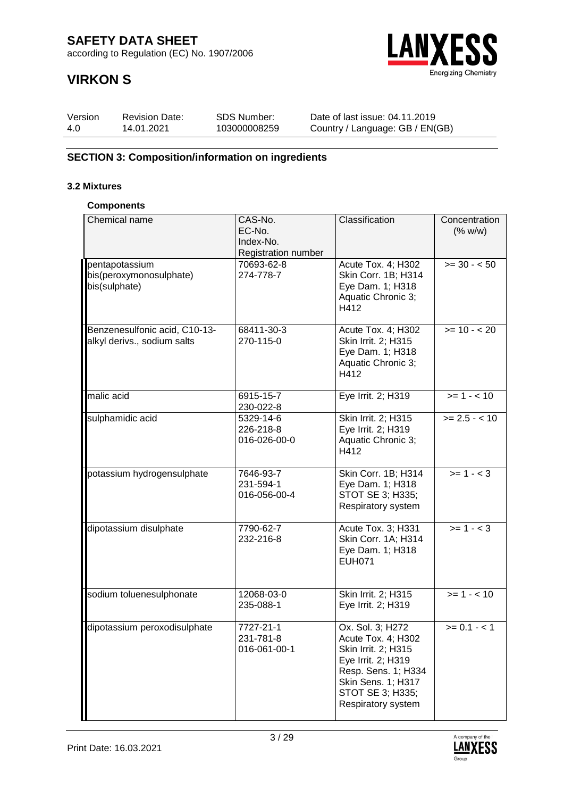according to Regulation (EC) No. 1907/2006

# **VIRKON S**



| Version | <b>Revision Date:</b> | SDS Number:  | Date of last issue: 04.11.2019  |
|---------|-----------------------|--------------|---------------------------------|
| 4.0     | 14.01.2021            | 103000008259 | Country / Language: GB / EN(GB) |

### **SECTION 3: Composition/information on ingredients**

### **3.2 Mixtures**

#### **Components**

| Chemical name                                                | CAS-No.<br>EC-No.<br>Index-No.<br>Registration number | Classification                                                                                                                                                             | Concentration<br>(% w/w) |
|--------------------------------------------------------------|-------------------------------------------------------|----------------------------------------------------------------------------------------------------------------------------------------------------------------------------|--------------------------|
| pentapotassium<br>bis(peroxymonosulphate)<br>bis(sulphate)   | 70693-62-8<br>274-778-7                               | Acute Tox. 4; H302<br>Skin Corr. 1B; H314<br>Eye Dam. 1; H318<br>Aquatic Chronic 3;<br>H412                                                                                | $>= 30 - 50$             |
| Benzenesulfonic acid, C10-13-<br>alkyl derivs., sodium salts | 68411-30-3<br>270-115-0                               | Acute Tox. 4; H302<br>Skin Irrit. 2; H315<br>Eye Dam. 1; H318<br>Aquatic Chronic 3;<br>H412                                                                                | $>= 10 - 20$             |
| malic acid                                                   | 6915-15-7<br>230-022-8                                | Eye Irrit. 2; H319                                                                                                                                                         | $>= 1 - 10$              |
| sulphamidic acid                                             | 5329-14-6<br>226-218-8<br>016-026-00-0                | Skin Irrit. 2; H315<br>Eye Irrit. 2; H319<br>Aquatic Chronic 3;<br>H412                                                                                                    | $>= 2.5 - 10$            |
| potassium hydrogensulphate                                   | 7646-93-7<br>231-594-1<br>016-056-00-4                | Skin Corr. 1B; H314<br>Eye Dam. 1; H318<br>STOT SE 3; H335;<br>Respiratory system                                                                                          | $>= 1 - 3$               |
| dipotassium disulphate                                       | 7790-62-7<br>232-216-8                                | Acute Tox. 3; H331<br>Skin Corr. 1A; H314<br>Eye Dam. 1; H318<br><b>EUH071</b>                                                                                             | $>= 1 - < 3$             |
| sodium toluenesulphonate                                     | 12068-03-0<br>235-088-1                               | Skin Irrit. 2; H315<br>Eye Irrit. 2; H319                                                                                                                                  | $>= 1 - 10$              |
| dipotassium peroxodisulphate                                 | 7727-21-1<br>231-781-8<br>016-061-00-1                | Ox. Sol. 3; H272<br>Acute Tox. 4; H302<br>Skin Irrit. 2; H315<br>Eye Irrit. 2; H319<br>Resp. Sens. 1; H334<br>Skin Sens. 1; H317<br>STOT SE 3; H335;<br>Respiratory system | $>= 0.1 - < 1$           |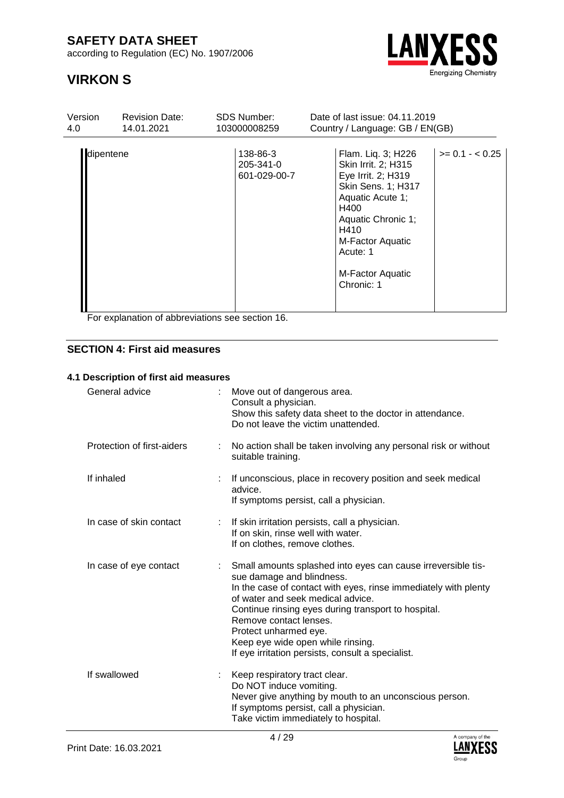according to Regulation (EC) No. 1907/2006



# **VIRKON S**

| Version   | <b>Revision Date:</b> | <b>SDS Number:</b>                    | Date of last issue: 04.11.2019                                                                                                                                                                                    |                   |  |  |
|-----------|-----------------------|---------------------------------------|-------------------------------------------------------------------------------------------------------------------------------------------------------------------------------------------------------------------|-------------------|--|--|
| 4.0       | 14.01.2021            | 103000008259                          | Country / Language: GB / EN(GB)                                                                                                                                                                                   |                   |  |  |
| dipentene |                       | 138-86-3<br>205-341-0<br>601-029-00-7 | Flam. Liq. 3; H226<br>Skin Irrit. 2; H315<br>Eye Irrit. 2; H319<br>Skin Sens. 1; H317<br>Aquatic Acute 1;<br>H400<br>Aquatic Chronic 1;<br>H410<br>M-Factor Aquatic<br>Acute: 1<br>M-Factor Aquatic<br>Chronic: 1 | $>= 0.1 - < 0.25$ |  |  |

For explanation of abbreviations see section 16.

### **SECTION 4: First aid measures**

#### **4.1 Description of first aid measures**

| General advice             |    | Move out of dangerous area.<br>Consult a physician.<br>Show this safety data sheet to the doctor in attendance.<br>Do not leave the victim unattended.                                                                                                                                                                                                                                                |
|----------------------------|----|-------------------------------------------------------------------------------------------------------------------------------------------------------------------------------------------------------------------------------------------------------------------------------------------------------------------------------------------------------------------------------------------------------|
| Protection of first-aiders |    | No action shall be taken involving any personal risk or without<br>suitable training.                                                                                                                                                                                                                                                                                                                 |
| If inhaled                 |    | If unconscious, place in recovery position and seek medical<br>advice.<br>If symptoms persist, call a physician.                                                                                                                                                                                                                                                                                      |
| In case of skin contact    |    | : If skin irritation persists, call a physician.<br>If on skin, rinse well with water.<br>If on clothes, remove clothes.                                                                                                                                                                                                                                                                              |
| In case of eye contact     |    | Small amounts splashed into eyes can cause irreversible tis-<br>sue damage and blindness.<br>In the case of contact with eyes, rinse immediately with plenty<br>of water and seek medical advice.<br>Continue rinsing eyes during transport to hospital.<br>Remove contact lenses.<br>Protect unharmed eye.<br>Keep eye wide open while rinsing.<br>If eye irritation persists, consult a specialist. |
| If swallowed               | ÷. | Keep respiratory tract clear.<br>Do NOT induce vomiting.<br>Never give anything by mouth to an unconscious person.<br>If symptoms persist, call a physician.<br>Take victim immediately to hospital.                                                                                                                                                                                                  |

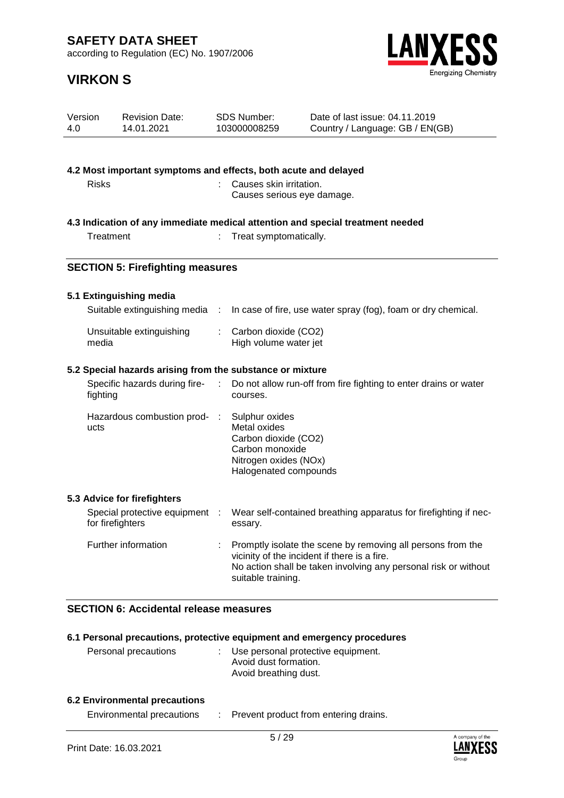according to Regulation (EC) No. 1907/2006



# **VIRKON S**

| Version<br>4.0 |                  | <b>Revision Date:</b><br>14.01.2021                             |           | SDS Number:<br>103000008259                                                                                                 | Date of last issue: 04.11.2019<br>Country / Language: GB / EN(GB)                                                                                                              |
|----------------|------------------|-----------------------------------------------------------------|-----------|-----------------------------------------------------------------------------------------------------------------------------|--------------------------------------------------------------------------------------------------------------------------------------------------------------------------------|
|                |                  |                                                                 |           |                                                                                                                             |                                                                                                                                                                                |
|                |                  | 4.2 Most important symptoms and effects, both acute and delayed |           |                                                                                                                             |                                                                                                                                                                                |
|                | <b>Risks</b>     |                                                                 |           | Causes skin irritation.<br>Causes serious eye damage.                                                                       |                                                                                                                                                                                |
|                |                  |                                                                 |           |                                                                                                                             | 4.3 Indication of any immediate medical attention and special treatment needed                                                                                                 |
|                | Treatment        |                                                                 |           | Treat symptomatically.                                                                                                      |                                                                                                                                                                                |
|                |                  | <b>SECTION 5: Firefighting measures</b>                         |           |                                                                                                                             |                                                                                                                                                                                |
|                |                  | 5.1 Extinguishing media                                         |           |                                                                                                                             |                                                                                                                                                                                |
|                |                  | Suitable extinguishing media :                                  |           |                                                                                                                             | In case of fire, use water spray (fog), foam or dry chemical.                                                                                                                  |
|                | media            | Unsuitable extinguishing                                        | ÷.        | Carbon dioxide (CO2)<br>High volume water jet                                                                               |                                                                                                                                                                                |
|                |                  | 5.2 Special hazards arising from the substance or mixture       |           |                                                                                                                             |                                                                                                                                                                                |
|                | fighting         | Specific hazards during fire-                                   |           | courses.                                                                                                                    | Do not allow run-off from fire fighting to enter drains or water                                                                                                               |
|                | ucts             | Hazardous combustion prod-                                      | $\sim 10$ | Sulphur oxides<br>Metal oxides<br>Carbon dioxide (CO2)<br>Carbon monoxide<br>Nitrogen oxides (NOx)<br>Halogenated compounds |                                                                                                                                                                                |
|                |                  | 5.3 Advice for firefighters                                     |           |                                                                                                                             |                                                                                                                                                                                |
|                | for firefighters | Special protective equipment :                                  |           | essary.                                                                                                                     | Wear self-contained breathing apparatus for firefighting if nec-                                                                                                               |
|                |                  | Further information                                             | ÷.        | suitable training.                                                                                                          | Promptly isolate the scene by removing all persons from the<br>vicinity of the incident if there is a fire.<br>No action shall be taken involving any personal risk or without |
|                |                  | $\sim$ 100 $\pm$ 100 $\pm$                                      |           |                                                                                                                             |                                                                                                                                                                                |

### **SECTION 6: Accidental release measures**

| 6.1 Personal precautions, protective equipment and emergency procedures |  |                                                                                        |  |  |
|-------------------------------------------------------------------------|--|----------------------------------------------------------------------------------------|--|--|
| Personal precautions                                                    |  | : Use personal protective equipment.<br>Avoid dust formation.<br>Avoid breathing dust. |  |  |

### **6.2 Environmental precautions**

Environmental precautions : Prevent product from entering drains.

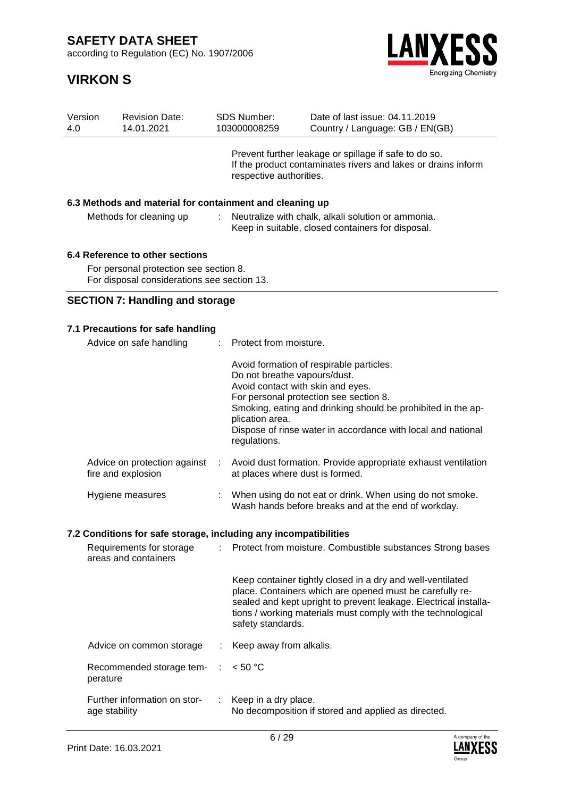according to Regulation (EC) No. 1907/2006

# **VIRKON S**



| Version<br>4.0 | <b>Revision Date:</b><br>14.01.2021                      | SDS Number:<br>103000008259                                                                                                                       | Date of last issue: 04.11.2019<br>Country / Language: GB / EN(GB)                                       |  |  |
|----------------|----------------------------------------------------------|---------------------------------------------------------------------------------------------------------------------------------------------------|---------------------------------------------------------------------------------------------------------|--|--|
|                |                                                          | Prevent further leakage or spillage if safe to do so.<br>If the product contaminates rivers and lakes or drains inform<br>respective authorities. |                                                                                                         |  |  |
|                | 6.3 Methods and material for containment and cleaning up |                                                                                                                                                   |                                                                                                         |  |  |
|                | Methods for cleaning up                                  |                                                                                                                                                   | Neutralize with chalk, alkali solution or ammonia.<br>Keep in suitable, closed containers for disposal. |  |  |
|                |                                                          |                                                                                                                                                   |                                                                                                         |  |  |

#### **6.4 Reference to other sections**

For personal protection see section 8. For disposal considerations see section 13.

### **SECTION 7: Handling and storage**

### **7.1 Precautions for safe handling**

| Advice on safe handling                            |    | : Protect from moisture.                                                                                                                                                                                                                                                                                                   |  |  |
|----------------------------------------------------|----|----------------------------------------------------------------------------------------------------------------------------------------------------------------------------------------------------------------------------------------------------------------------------------------------------------------------------|--|--|
|                                                    |    | Avoid formation of respirable particles.<br>Do not breathe vapours/dust.<br>Avoid contact with skin and eyes.<br>For personal protection see section 8.<br>Smoking, eating and drinking should be prohibited in the ap-<br>plication area.<br>Dispose of rinse water in accordance with local and national<br>regulations. |  |  |
| Advice on protection against<br>fire and explosion | ÷. | Avoid dust formation. Provide appropriate exhaust ventilation<br>at places where dust is formed.                                                                                                                                                                                                                           |  |  |
| Hygiene measures                                   | t. | When using do not eat or drink. When using do not smoke.<br>Wash hands before breaks and at the end of workday.                                                                                                                                                                                                            |  |  |

#### **7.2 Conditions for safe storage, including any incompatibilities**

| Requirements for storage<br>areas and containers          | : Protect from moisture. Combustible substances Strong bases                                                                                                                                                                                                                    |
|-----------------------------------------------------------|---------------------------------------------------------------------------------------------------------------------------------------------------------------------------------------------------------------------------------------------------------------------------------|
|                                                           | Keep container tightly closed in a dry and well-ventilated<br>place. Containers which are opened must be carefully re-<br>sealed and kept upright to prevent leakage. Electrical installa-<br>tions / working materials must comply with the technological<br>safety standards. |
| Advice on common storage                                  | : Keep away from alkalis.                                                                                                                                                                                                                                                       |
| Recommended storage tem- $\therefore$ < 50 °C<br>perature |                                                                                                                                                                                                                                                                                 |
| Further information on stor-<br>age stability             | $:$ Keep in a dry place.<br>No decomposition if stored and applied as directed.                                                                                                                                                                                                 |

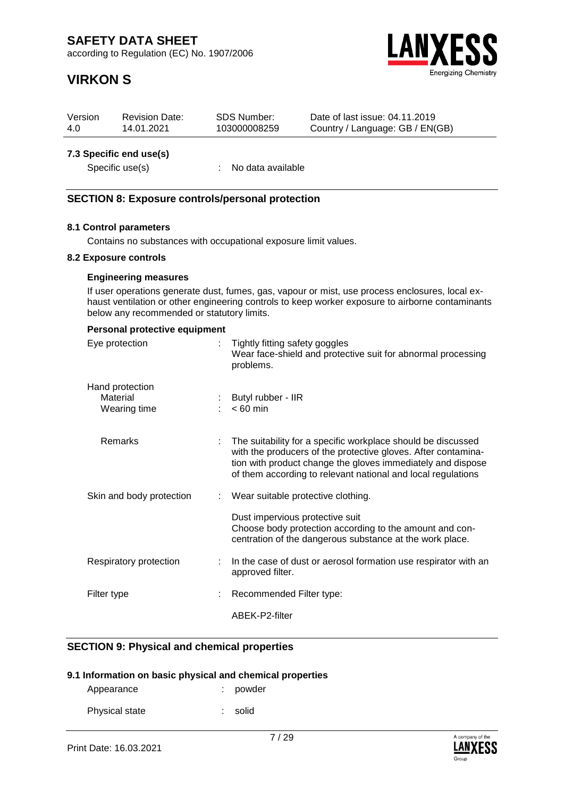according to Regulation (EC) No. 1907/2006

# **VIRKON S**



| Version                | <b>Revision Date:</b> | SDS Number:  | Date of last issue: 04.11.2019  |  |  |  |  |
|------------------------|-----------------------|--------------|---------------------------------|--|--|--|--|
| 4.0                    | 14.01.2021            | 103000008259 | Country / Language: GB / EN(GB) |  |  |  |  |
| 73 Snacific and usals) |                       |              |                                 |  |  |  |  |

#### **7.3 Specific end use(s)**

Specific use(s) : No data available

#### **SECTION 8: Exposure controls/personal protection**

#### **8.1 Control parameters**

Contains no substances with occupational exposure limit values.

#### **8.2 Exposure controls**

#### **Engineering measures**

If user operations generate dust, fumes, gas, vapour or mist, use process enclosures, local exhaust ventilation or other engineering controls to keep worker exposure to airborne contaminants below any recommended or statutory limits.

### **Personal protective equipment**

| Eye protection                              | Tightly fitting safety goggles<br>Wear face-shield and protective suit for abnormal processing<br>problems.                                                                                                                                                  |
|---------------------------------------------|--------------------------------------------------------------------------------------------------------------------------------------------------------------------------------------------------------------------------------------------------------------|
| Hand protection<br>Material<br>Wearing time | Butyl rubber - IIR<br>$< 60$ min                                                                                                                                                                                                                             |
| Remarks                                     | The suitability for a specific workplace should be discussed<br>with the producers of the protective gloves. After contamina-<br>tion with product change the gloves immediately and dispose<br>of them according to relevant national and local regulations |
| Skin and body protection                    | Wear suitable protective clothing.                                                                                                                                                                                                                           |
|                                             | Dust impervious protective suit<br>Choose body protection according to the amount and con-<br>centration of the dangerous substance at the work place.                                                                                                       |
| Respiratory protection                      | In the case of dust or aerosol formation use respirator with an<br>approved filter.                                                                                                                                                                          |
| Filter type                                 | Recommended Filter type:                                                                                                                                                                                                                                     |
|                                             | ABEK-P2-filter                                                                                                                                                                                                                                               |

#### **SECTION 9: Physical and chemical properties**

#### **9.1 Information on basic physical and chemical properties**

| Appearance     | : powder |
|----------------|----------|
| Physical state | : solid  |

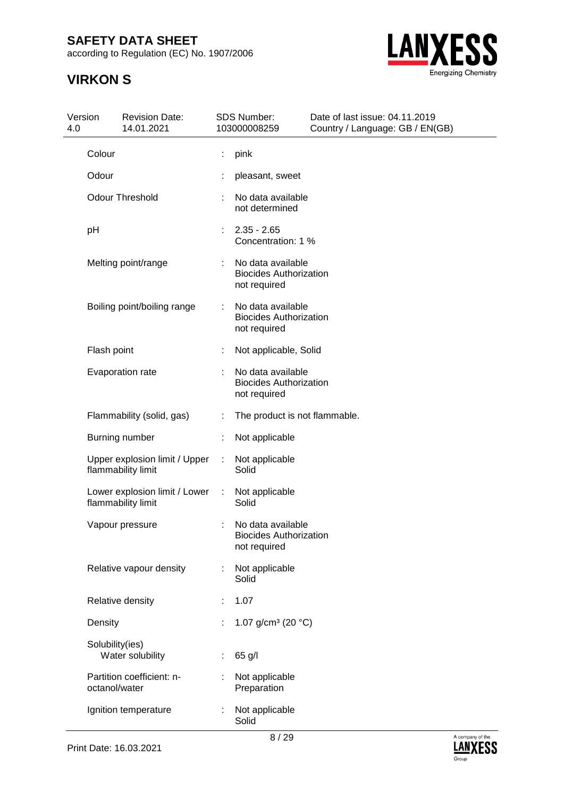according to Regulation (EC) No. 1907/2006



| 4.0 | Version<br><b>Revision Date:</b><br>14.01.2021      |    | <b>SDS Number:</b><br>103000008259                                 | Date of last issue: 04.11.2019<br>Country / Language: GB / EN(GB) |  |  |
|-----|-----------------------------------------------------|----|--------------------------------------------------------------------|-------------------------------------------------------------------|--|--|
|     | Colour                                              |    | pink                                                               |                                                                   |  |  |
|     | Odour                                               |    | pleasant, sweet                                                    |                                                                   |  |  |
|     | <b>Odour Threshold</b>                              | ÷  | No data available<br>not determined                                |                                                                   |  |  |
|     | pH                                                  | ÷. | $2.35 - 2.65$<br>Concentration: 1 %                                |                                                                   |  |  |
|     | Melting point/range                                 | t  | No data available<br><b>Biocides Authorization</b><br>not required |                                                                   |  |  |
|     | Boiling point/boiling range                         |    | No data available<br><b>Biocides Authorization</b><br>not required |                                                                   |  |  |
|     | Flash point                                         | t  | Not applicable, Solid                                              |                                                                   |  |  |
|     | Evaporation rate                                    | t  | No data available<br><b>Biocides Authorization</b><br>not required |                                                                   |  |  |
|     | Flammability (solid, gas)                           |    | The product is not flammable.                                      |                                                                   |  |  |
|     | Burning number                                      |    | Not applicable                                                     |                                                                   |  |  |
|     | Upper explosion limit / Upper<br>flammability limit |    | Not applicable<br>Solid                                            |                                                                   |  |  |
|     | Lower explosion limit / Lower<br>flammability limit | ÷  | Not applicable<br>Solid                                            |                                                                   |  |  |
|     | Vapour pressure                                     | ÷  | No data available<br><b>Biocides Authorization</b><br>not required |                                                                   |  |  |
|     | Relative vapour density                             |    | Not applicable<br>Solid                                            |                                                                   |  |  |
|     | Relative density                                    |    | 1.07                                                               |                                                                   |  |  |
|     | Density                                             |    | 1.07 g/cm <sup>3</sup> (20 $°C$ )                                  |                                                                   |  |  |
|     | Solubility(ies)<br>Water solubility                 |    | 65 g/l                                                             |                                                                   |  |  |
|     | Partition coefficient: n-<br>octanol/water          |    | Not applicable<br>Preparation                                      |                                                                   |  |  |
|     | Ignition temperature                                |    | Not applicable<br>Solid                                            |                                                                   |  |  |

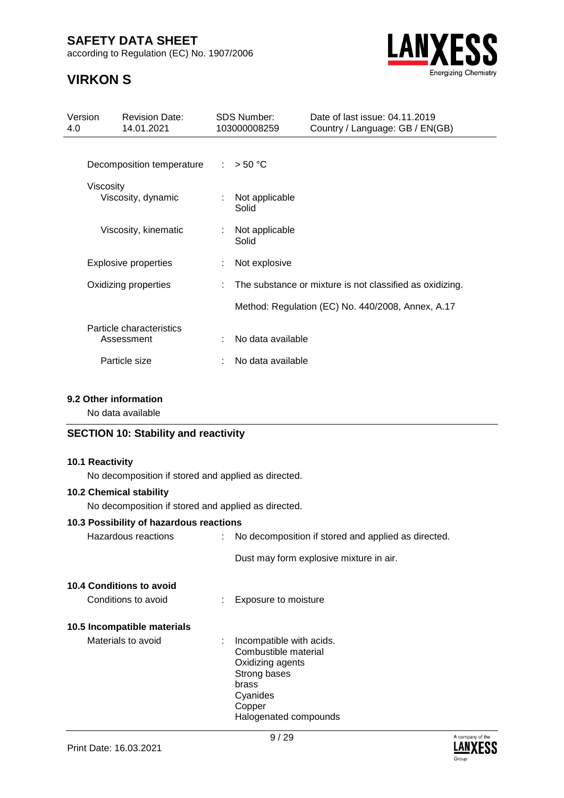according to Regulation (EC) No. 1907/2006

# **VIRKON S**



| Version<br>4.0 | <b>Revision Date:</b><br>14.01.2021    |    | <b>SDS Number:</b><br>103000008259 | Date of last issue: 04.11.2019<br>Country / Language: GB / EN(GB) |
|----------------|----------------------------------------|----|------------------------------------|-------------------------------------------------------------------|
|                | Decomposition temperature              | ÷. | > 50 °C                            |                                                                   |
|                | Viscosity<br>Viscosity, dynamic        | ÷  | Not applicable<br>Solid            |                                                                   |
|                | Viscosity, kinematic                   |    | Not applicable<br>Solid            |                                                                   |
|                | <b>Explosive properties</b>            |    | Not explosive                      |                                                                   |
|                | Oxidizing properties                   | ÷  |                                    | The substance or mixture is not classified as oxidizing.          |
|                |                                        |    |                                    | Method: Regulation (EC) No. 440/2008, Annex, A.17                 |
|                | Particle characteristics<br>Assessment |    | No data available                  |                                                                   |
|                | Particle size                          |    | No data available                  |                                                                   |

### **9.2 Other information**

No data available

### **SECTION 10: Stability and reactivity**

#### **10.1 Reactivity**

No decomposition if stored and applied as directed.

#### **10.2 Chemical stability**

No decomposition if stored and applied as directed.

#### **10.3 Possibility of hazardous reactions**

| Hazardous reactions | No decomposition if stored and applied as directed. |
|---------------------|-----------------------------------------------------|
|                     | Dust may form explosive mixture in air.             |

#### **10.4 Conditions to avoid**

Conditions to avoid : Exposure to moisture

#### **10.5 Incompatible materials**

Materials to avoid : Incompatible with acids. Combustible material Oxidizing agents Strong bases brass Cyanides Copper Halogenated compounds

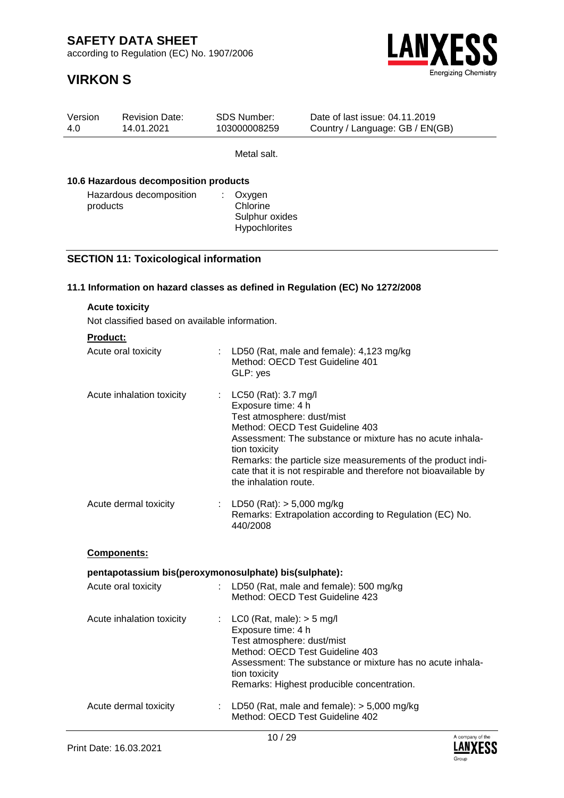according to Regulation (EC) No. 1907/2006



| Version<br>4.0 | <b>Revision Date:</b><br>14.01.2021                   | <b>SDS Number:</b><br>103000008259                                                                                       | Date of last issue: 04.11.2019<br>Country / Language: GB / EN(GB)                                                                                                                                                                |
|----------------|-------------------------------------------------------|--------------------------------------------------------------------------------------------------------------------------|----------------------------------------------------------------------------------------------------------------------------------------------------------------------------------------------------------------------------------|
|                |                                                       | Metal salt.                                                                                                              |                                                                                                                                                                                                                                  |
|                | 10.6 Hazardous decomposition products                 |                                                                                                                          |                                                                                                                                                                                                                                  |
|                | Hazardous decomposition<br>products                   | ÷.<br>Oxygen<br>Chlorine<br>Sulphur oxides<br>Hypochlorites                                                              |                                                                                                                                                                                                                                  |
|                | <b>SECTION 11: Toxicological information</b>          |                                                                                                                          |                                                                                                                                                                                                                                  |
|                |                                                       |                                                                                                                          | 11.1 Information on hazard classes as defined in Regulation (EC) No 1272/2008                                                                                                                                                    |
|                | <b>Acute toxicity</b>                                 |                                                                                                                          |                                                                                                                                                                                                                                  |
|                | Not classified based on available information.        |                                                                                                                          |                                                                                                                                                                                                                                  |
|                | <b>Product:</b>                                       |                                                                                                                          |                                                                                                                                                                                                                                  |
|                | Acute oral toxicity                                   | GLP: yes                                                                                                                 | : LD50 (Rat, male and female): $4,123$ mg/kg<br>Method: OECD Test Guideline 401                                                                                                                                                  |
|                | Acute inhalation toxicity                             | LC50 (Rat): 3.7 mg/l<br>÷.<br>Exposure time: 4 h<br>Test atmosphere: dust/mist<br>tion toxicity<br>the inhalation route. | Method: OECD Test Guideline 403<br>Assessment: The substance or mixture has no acute inhala-<br>Remarks: the particle size measurements of the product indi-<br>cate that it is not respirable and therefore not bioavailable by |
|                | Acute dermal toxicity                                 | LD50 (Rat): $> 5,000$ mg/kg<br>440/2008                                                                                  | Remarks: Extrapolation according to Regulation (EC) No.                                                                                                                                                                          |
|                | Components:                                           |                                                                                                                          |                                                                                                                                                                                                                                  |
|                | pentapotassium bis(peroxymonosulphate) bis(sulphate): |                                                                                                                          |                                                                                                                                                                                                                                  |
|                | Acute oral toxicity                                   |                                                                                                                          | LD50 (Rat, male and female): 500 mg/kg<br>Method: OECD Test Guideline 423                                                                                                                                                        |
|                | Acute inhalation toxicity                             | : LC0 (Rat, male): $>$ 5 mg/l<br>Exposure time: 4 h<br>Test atmosphere: dust/mist<br>tion toxicity                       | Method: OECD Test Guideline 403<br>Assessment: The substance or mixture has no acute inhala-<br>Remarks: Highest producible concentration.                                                                                       |
|                | Acute dermal toxicity                                 |                                                                                                                          | : LD50 (Rat, male and female): $>$ 5,000 mg/kg<br>Method: OECD Test Guideline 402                                                                                                                                                |

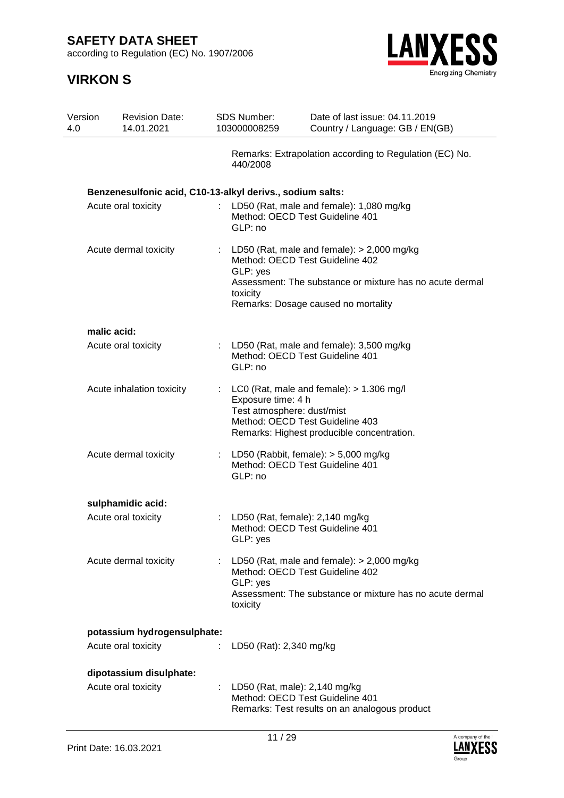according to Regulation (EC) No. 1907/2006



| Version<br>4.0 | <b>Revision Date:</b><br>14.01.2021                       | <b>SDS Number:</b><br>103000008259               | Date of last issue: 04.11.2019<br>Country / Language: GB / EN(GB)                                                                                                                    |
|----------------|-----------------------------------------------------------|--------------------------------------------------|--------------------------------------------------------------------------------------------------------------------------------------------------------------------------------------|
|                |                                                           | 440/2008                                         | Remarks: Extrapolation according to Regulation (EC) No.                                                                                                                              |
|                | Benzenesulfonic acid, C10-13-alkyl derivs., sodium salts: |                                                  |                                                                                                                                                                                      |
|                | Acute oral toxicity                                       | GLP: no                                          | : LD50 (Rat, male and female): 1,080 mg/kg<br>Method: OECD Test Guideline 401                                                                                                        |
|                | Acute dermal toxicity                                     | GLP: yes<br>toxicity                             | : LD50 (Rat, male and female): $> 2,000$ mg/kg<br>Method: OECD Test Guideline 402<br>Assessment: The substance or mixture has no acute dermal<br>Remarks: Dosage caused no mortality |
|                | malic acid:                                               |                                                  |                                                                                                                                                                                      |
|                | Acute oral toxicity                                       | GLP: no                                          | : LD50 (Rat, male and female): $3,500$ mg/kg<br>Method: OECD Test Guideline 401                                                                                                      |
|                | Acute inhalation toxicity                                 | Exposure time: 4 h<br>Test atmosphere: dust/mist | LC0 (Rat, male and female): $> 1.306$ mg/l<br>Method: OECD Test Guideline 403<br>Remarks: Highest producible concentration.                                                          |
|                | Acute dermal toxicity                                     | GLP: no                                          | : LD50 (Rabbit, female): $> 5,000$ mg/kg<br>Method: OECD Test Guideline 401                                                                                                          |
|                | sulphamidic acid:                                         |                                                  |                                                                                                                                                                                      |
|                | Acute oral toxicity                                       | GLP: yes                                         | LD50 (Rat, female): 2,140 mg/kg<br>Method: OECD Test Guideline 401                                                                                                                   |
|                | Acute dermal toxicity                                     | GLP: yes<br>toxicity                             | LD50 (Rat, male and female): $>$ 2,000 mg/kg<br>Method: OECD Test Guideline 402<br>Assessment: The substance or mixture has no acute dermal                                          |
|                | potassium hydrogensulphate:                               |                                                  |                                                                                                                                                                                      |
|                | Acute oral toxicity                                       | LD50 (Rat): 2,340 mg/kg                          |                                                                                                                                                                                      |
|                | dipotassium disulphate:                                   |                                                  |                                                                                                                                                                                      |
|                | Acute oral toxicity                                       |                                                  | : LD50 (Rat, male): 2,140 mg/kg<br>Method: OECD Test Guideline 401<br>Remarks: Test results on an analogous product                                                                  |

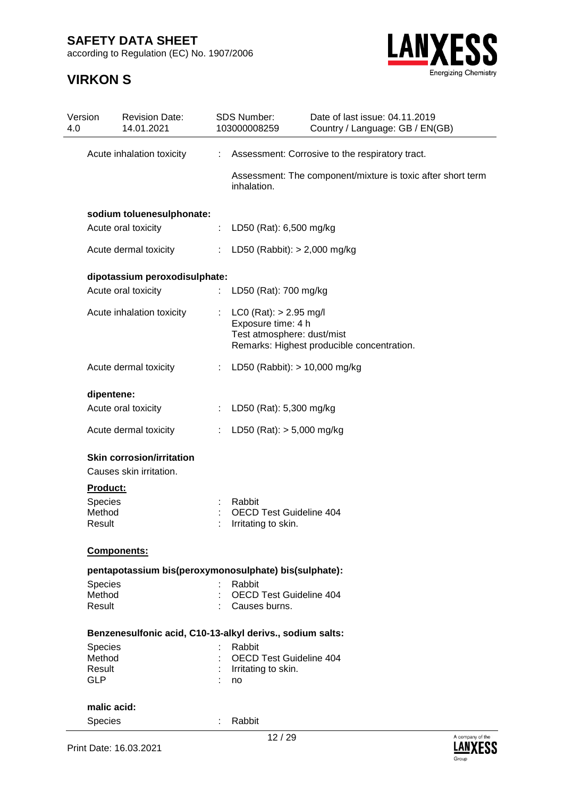according to Regulation (EC) No. 1907/2006



| Version<br>4.0 | <b>Revision Date:</b><br>14.01.2021                         |                | <b>SDS Number:</b><br>103000008259                                                                                         | Date of last issue: 04.11.2019<br>Country / Language: GB / EN(GB) |
|----------------|-------------------------------------------------------------|----------------|----------------------------------------------------------------------------------------------------------------------------|-------------------------------------------------------------------|
|                | Acute inhalation toxicity                                   | ÷.             |                                                                                                                            | Assessment: Corrosive to the respiratory tract.                   |
|                |                                                             |                | inhalation.                                                                                                                | Assessment: The component/mixture is toxic after short term       |
|                | sodium toluenesulphonate:                                   |                |                                                                                                                            |                                                                   |
|                | Acute oral toxicity                                         | ÷.             | LD50 (Rat): 6,500 mg/kg                                                                                                    |                                                                   |
|                | Acute dermal toxicity                                       | $\mathbb{Z}^n$ | LD50 (Rabbit): $> 2,000$ mg/kg                                                                                             |                                                                   |
|                | dipotassium peroxodisulphate:                               |                |                                                                                                                            |                                                                   |
|                | Acute oral toxicity                                         |                | : LD50 (Rat): 700 mg/kg                                                                                                    |                                                                   |
|                | Acute inhalation toxicity                                   |                | $LCO (Rat): > 2.95$ mg/l<br>Exposure time: 4 h<br>Test atmosphere: dust/mist<br>Remarks: Highest producible concentration. |                                                                   |
|                | Acute dermal toxicity                                       |                | : LD50 (Rabbit): $> 10,000$ mg/kg                                                                                          |                                                                   |
|                | dipentene:                                                  |                |                                                                                                                            |                                                                   |
|                | Acute oral toxicity                                         | $\mathbb{Z}^+$ | LD50 (Rat): 5,300 mg/kg                                                                                                    |                                                                   |
|                | Acute dermal toxicity                                       |                | LD50 (Rat): $> 5,000$ mg/kg                                                                                                |                                                                   |
|                | <b>Skin corrosion/irritation</b><br>Causes skin irritation. |                |                                                                                                                            |                                                                   |
|                | Product:                                                    |                |                                                                                                                            |                                                                   |
|                | <b>Species</b><br>Method<br>Result                          |                | Rabbit<br><b>OECD Test Guideline 404</b><br>Irritating to skin.                                                            |                                                                   |
|                | Components:                                                 |                |                                                                                                                            |                                                                   |
|                | pentapotassium bis(peroxymonosulphate) bis(sulphate):       |                |                                                                                                                            |                                                                   |
|                | Species                                                     |                | Rabbit                                                                                                                     |                                                                   |
|                | Method<br>Result                                            |                | <b>OECD Test Guideline 404</b><br>Causes burns.                                                                            |                                                                   |
|                | Benzenesulfonic acid, C10-13-alkyl derivs., sodium salts:   |                |                                                                                                                            |                                                                   |
|                | Species                                                     |                | Rabbit                                                                                                                     |                                                                   |
|                | Method                                                      |                | OECD Test Guideline 404                                                                                                    |                                                                   |
|                | Result<br><b>GLP</b>                                        |                | Irritating to skin.<br>no                                                                                                  |                                                                   |
|                | malic acid:                                                 |                |                                                                                                                            |                                                                   |
|                | Species                                                     |                | Rabbit                                                                                                                     |                                                                   |
|                |                                                             |                |                                                                                                                            |                                                                   |

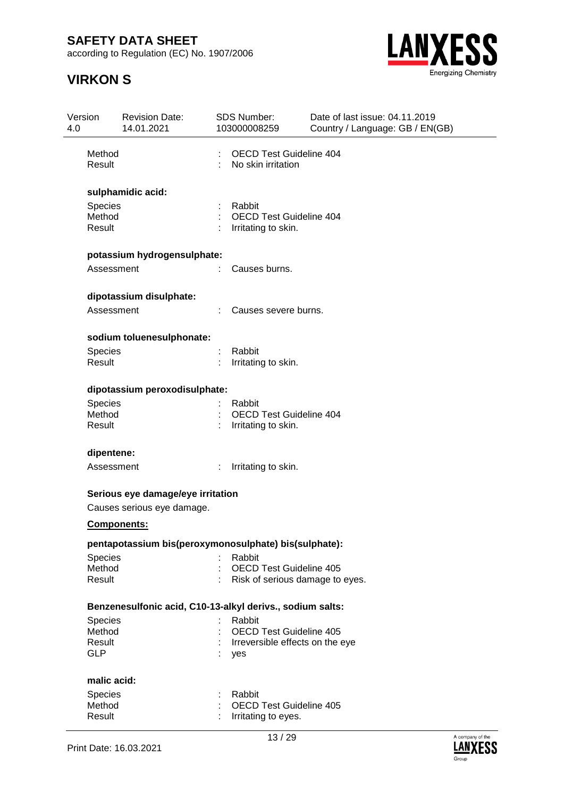according to Regulation (EC) No. 1907/2006



| Version<br>4.0 |                                                  | <b>Revision Date:</b><br>14.01.2021                             | SDS Number:<br>103000008259                                                        | Date of last issue: 04.11.2019<br>Country / Language: GB / EN(GB) |  |  |  |
|----------------|--------------------------------------------------|-----------------------------------------------------------------|------------------------------------------------------------------------------------|-------------------------------------------------------------------|--|--|--|
|                | Method<br>Result                                 |                                                                 | <b>OECD Test Guideline 404</b><br>No skin irritation                               |                                                                   |  |  |  |
|                | <b>Species</b><br>Method<br>Result               | sulphamidic acid:                                               | Rabbit<br><b>OECD Test Guideline 404</b><br>Irritating to skin.                    |                                                                   |  |  |  |
|                | Assessment                                       | potassium hydrogensulphate:                                     | Causes burns.                                                                      |                                                                   |  |  |  |
|                | Assessment                                       | dipotassium disulphate:                                         | Causes severe burns.                                                               |                                                                   |  |  |  |
|                | Species<br>Result                                | sodium toluenesulphonate:                                       | Rabbit<br>Irritating to skin.                                                      |                                                                   |  |  |  |
|                | <b>Species</b><br>Method<br>Result               | dipotassium peroxodisulphate:                                   | Rabbit<br><b>OECD Test Guideline 404</b><br>Irritating to skin.                    |                                                                   |  |  |  |
|                | dipentene:<br>Assessment                         |                                                                 | Irritating to skin.                                                                |                                                                   |  |  |  |
|                | <b>Components:</b>                               | Serious eye damage/eye irritation<br>Causes serious eye damage. |                                                                                    |                                                                   |  |  |  |
|                | Species<br>Method<br>Result                      | pentapotassium bis(peroxymonosulphate) bis(sulphate):           | Rabbit<br><b>OECD Test Guideline 405</b><br>Risk of serious damage to eyes.        |                                                                   |  |  |  |
|                | <b>Species</b><br>Method<br>Result<br><b>GLP</b> | Benzenesulfonic acid, C10-13-alkyl derivs., sodium salts:       | Rabbit<br><b>OECD Test Guideline 405</b><br>Irreversible effects on the eye<br>yes |                                                                   |  |  |  |
|                | malic acid:<br>Species<br>Method<br>Result       |                                                                 | Rabbit<br><b>OECD Test Guideline 405</b><br>Irritating to eyes.                    |                                                                   |  |  |  |

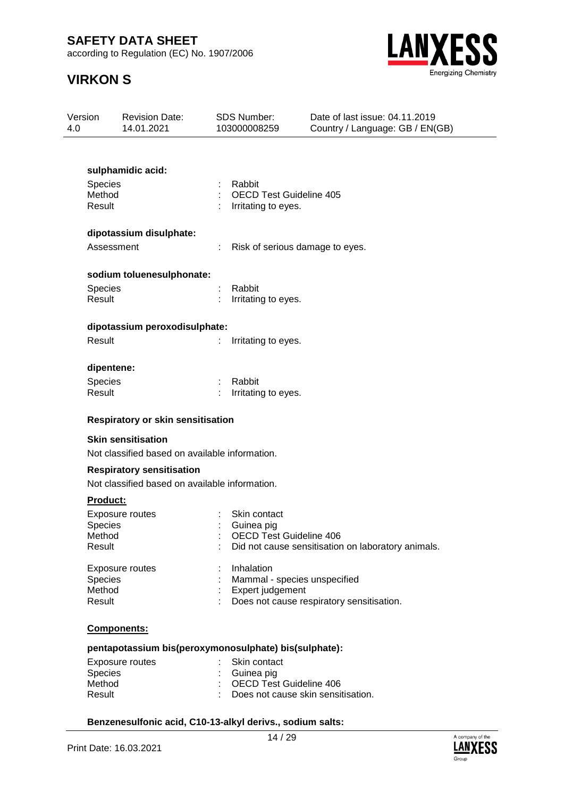according to Regulation (EC) No. 1907/2006

# **VIRKON S**



| Version<br>4.0 |                  | <b>Revision Date:</b><br>14.01.2021                   |    | <b>SDS Number:</b><br>103000008259                    | Date of last issue: 04.11.2019<br>Country / Language: GB / EN(GB) |
|----------------|------------------|-------------------------------------------------------|----|-------------------------------------------------------|-------------------------------------------------------------------|
|                |                  |                                                       |    |                                                       |                                                                   |
|                |                  | sulphamidic acid:                                     |    |                                                       |                                                                   |
|                | Species          |                                                       |    | Rabbit                                                |                                                                   |
|                | Method<br>Result |                                                       |    | <b>OECD Test Guideline 405</b><br>Irritating to eyes. |                                                                   |
|                |                  |                                                       |    |                                                       |                                                                   |
|                |                  | dipotassium disulphate:                               |    |                                                       |                                                                   |
|                | Assessment       |                                                       |    | Risk of serious damage to eyes.                       |                                                                   |
|                |                  | sodium toluenesulphonate:                             |    |                                                       |                                                                   |
|                | <b>Species</b>   |                                                       | ÷. | Rabbit                                                |                                                                   |
|                | Result           |                                                       |    | Irritating to eyes.                                   |                                                                   |
|                |                  | dipotassium peroxodisulphate:                         |    |                                                       |                                                                   |
|                | Result           |                                                       |    | Irritating to eyes.                                   |                                                                   |
|                | dipentene:       |                                                       |    |                                                       |                                                                   |
|                | Species          |                                                       |    | Rabbit                                                |                                                                   |
|                | Result           |                                                       |    | Irritating to eyes.                                   |                                                                   |
|                |                  | <b>Respiratory or skin sensitisation</b>              |    |                                                       |                                                                   |
|                |                  | <b>Skin sensitisation</b>                             |    |                                                       |                                                                   |
|                |                  | Not classified based on available information.        |    |                                                       |                                                                   |
|                |                  | <b>Respiratory sensitisation</b>                      |    |                                                       |                                                                   |
|                |                  | Not classified based on available information.        |    |                                                       |                                                                   |
|                | <b>Product:</b>  |                                                       |    |                                                       |                                                                   |
|                |                  | <b>Exposure routes</b>                                |    | Skin contact                                          |                                                                   |
|                | Species          |                                                       |    | Guinea pig                                            |                                                                   |
|                | Method           |                                                       |    | OECD Test Guideline 406                               |                                                                   |
|                | Result           |                                                       |    |                                                       | Did not cause sensitisation on laboratory animals.                |
|                |                  | <b>Exposure routes</b>                                |    | Inhalation                                            |                                                                   |
|                | Species          |                                                       |    | Mammal - species unspecified                          |                                                                   |
|                | Method           |                                                       |    | Expert judgement                                      |                                                                   |
|                | Result           |                                                       |    |                                                       | Does not cause respiratory sensitisation.                         |
|                |                  | Components:                                           |    |                                                       |                                                                   |
|                |                  | pentapotassium bis(peroxymonosulphate) bis(sulphate): |    |                                                       |                                                                   |
|                |                  | Exposure routes The Skin contact                      |    |                                                       |                                                                   |

| Exposure routes | : Skin contact                       |
|-----------------|--------------------------------------|
| Species         | : Guinea pig                         |
| Method          | : OECD Test Guideline 406            |
| Result          | : Does not cause skin sensitisation. |
|                 |                                      |

### **Benzenesulfonic acid, C10-13-alkyl derivs., sodium salts:**

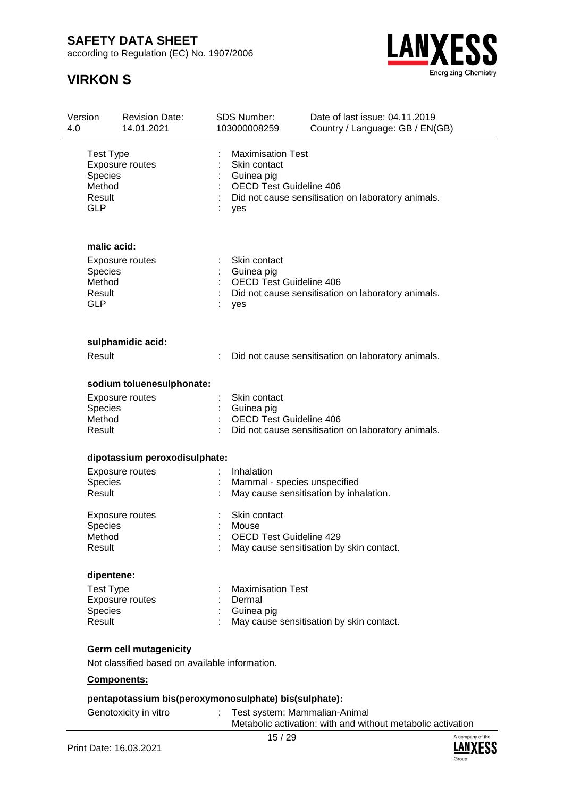according to Regulation (EC) No. 1907/2006



| Version<br>4.0 |                                                                      | <b>Revision Date:</b><br>14.01.2021                   | <b>SDS Number:</b><br>103000008259                                                       | Date of last issue: 04.11.2019<br>Country / Language: GB / EN(GB) |
|----------------|----------------------------------------------------------------------|-------------------------------------------------------|------------------------------------------------------------------------------------------|-------------------------------------------------------------------|
|                | <b>Test Type</b><br><b>Species</b><br>Method<br>Result<br><b>GLP</b> | Exposure routes                                       | <b>Maximisation Test</b><br>Skin contact<br>Guinea pig<br>OECD Test Guideline 406<br>yes | Did not cause sensitisation on laboratory animals.                |
|                | malic acid:                                                          |                                                       |                                                                                          |                                                                   |
|                | Species<br>Method<br>Result<br><b>GLP</b>                            | Exposure routes                                       | Skin contact<br>Guinea pig<br><b>OECD Test Guideline 406</b><br>yes                      | Did not cause sensitisation on laboratory animals.                |
|                |                                                                      | sulphamidic acid:                                     |                                                                                          |                                                                   |
|                | Result                                                               |                                                       |                                                                                          | Did not cause sensitisation on laboratory animals.                |
|                |                                                                      | sodium toluenesulphonate:                             |                                                                                          |                                                                   |
|                |                                                                      | <b>Exposure routes</b>                                | Skin contact                                                                             |                                                                   |
|                | <b>Species</b><br>Method                                             |                                                       | Guinea pig<br><b>OECD Test Guideline 406</b>                                             |                                                                   |
|                | Result                                                               |                                                       |                                                                                          | Did not cause sensitisation on laboratory animals.                |
|                |                                                                      | dipotassium peroxodisulphate:                         |                                                                                          |                                                                   |
|                |                                                                      | <b>Exposure routes</b>                                | Inhalation                                                                               |                                                                   |
|                | Species                                                              |                                                       | Mammal - species unspecified                                                             |                                                                   |
|                | Result                                                               |                                                       |                                                                                          | May cause sensitisation by inhalation.                            |
|                |                                                                      | <b>Exposure routes</b>                                | Skin contact                                                                             |                                                                   |
|                | <b>Species</b>                                                       |                                                       | Mouse                                                                                    |                                                                   |
|                | Method<br>Result                                                     |                                                       | OECD Test Guideline 429                                                                  |                                                                   |
|                |                                                                      |                                                       |                                                                                          | May cause sensitisation by skin contact.                          |
|                | dipentene:                                                           |                                                       |                                                                                          |                                                                   |
|                | <b>Test Type</b>                                                     |                                                       | <b>Maximisation Test</b>                                                                 |                                                                   |
|                |                                                                      | <b>Exposure routes</b>                                | Dermal                                                                                   |                                                                   |
|                | Species<br>Result                                                    |                                                       | Guinea pig                                                                               |                                                                   |
|                |                                                                      |                                                       |                                                                                          | May cause sensitisation by skin contact.                          |
|                |                                                                      | <b>Germ cell mutagenicity</b>                         |                                                                                          |                                                                   |
|                |                                                                      | Not classified based on available information.        |                                                                                          |                                                                   |
|                |                                                                      | Components:                                           |                                                                                          |                                                                   |
|                |                                                                      | pentapotassium bis(peroxymonosulphate) bis(sulphate): |                                                                                          |                                                                   |
|                |                                                                      | Genotoxicity in vitro                                 | Test system: Mammalian-Animal                                                            | Metabolic activation: with and without metabolic activation       |

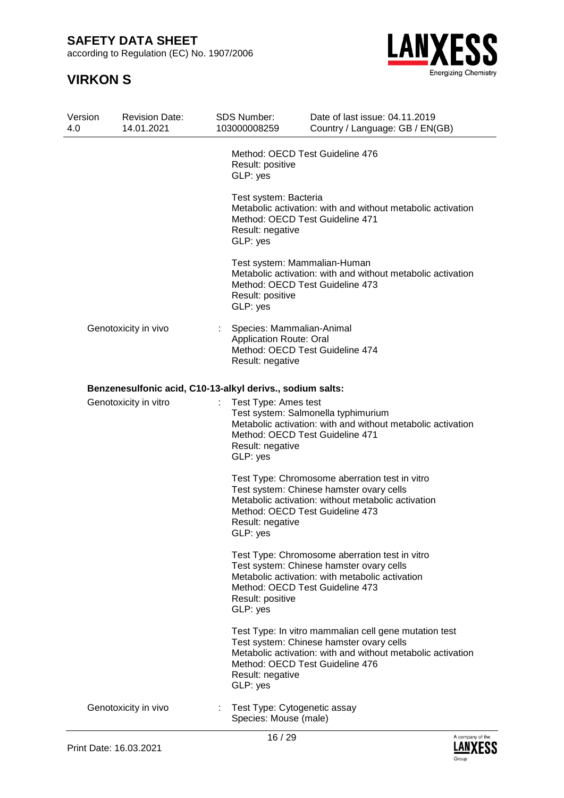according to Regulation (EC) No. 1907/2006



| Version<br>4.0 | <b>Revision Date:</b><br>14.01.2021                       | <b>SDS Number:</b><br>103000008259                                                                                 | Date of last issue: 04.11.2019<br>Country / Language: GB / EN(GB)                                                                                                |  |  |  |  |
|----------------|-----------------------------------------------------------|--------------------------------------------------------------------------------------------------------------------|------------------------------------------------------------------------------------------------------------------------------------------------------------------|--|--|--|--|
|                |                                                           | Method: OECD Test Guideline 476<br>Result: positive<br>GLP: yes                                                    |                                                                                                                                                                  |  |  |  |  |
|                |                                                           | Test system: Bacteria<br>Method: OECD Test Guideline 471<br>Result: negative<br>GLP: yes                           | Metabolic activation: with and without metabolic activation                                                                                                      |  |  |  |  |
|                |                                                           | Test system: Mammalian-Human<br>Method: OECD Test Guideline 473<br>Result: positive<br>GLP: yes                    | Metabolic activation: with and without metabolic activation                                                                                                      |  |  |  |  |
|                | Genotoxicity in vivo                                      | Species: Mammalian-Animal<br><b>Application Route: Oral</b><br>Method: OECD Test Guideline 474<br>Result: negative |                                                                                                                                                                  |  |  |  |  |
|                | Benzenesulfonic acid, C10-13-alkyl derivs., sodium salts: |                                                                                                                    |                                                                                                                                                                  |  |  |  |  |
|                | Genotoxicity in vitro                                     | Result: negative<br>GLP: yes                                                                                       | Test Type: Ames test<br>Test system: Salmonella typhimurium<br>Metabolic activation: with and without metabolic activation<br>Method: OECD Test Guideline 471    |  |  |  |  |
|                |                                                           | Method: OECD Test Guideline 473<br>Result: negative<br>GLP: ves                                                    | Test Type: Chromosome aberration test in vitro<br>Test system: Chinese hamster ovary cells<br>Metabolic activation: without metabolic activation                 |  |  |  |  |
|                |                                                           | Method: OECD Test Guideline 473<br>Result: positive<br>GLP: yes                                                    | Test Type: Chromosome aberration test in vitro<br>Test system: Chinese hamster ovary cells<br>Metabolic activation: with metabolic activation                    |  |  |  |  |
|                |                                                           | Method: OECD Test Guideline 476<br>Result: negative<br>GLP: yes                                                    | Test Type: In vitro mammalian cell gene mutation test<br>Test system: Chinese hamster ovary cells<br>Metabolic activation: with and without metabolic activation |  |  |  |  |
|                | Genotoxicity in vivo                                      | Test Type: Cytogenetic assay<br>Species: Mouse (male)                                                              |                                                                                                                                                                  |  |  |  |  |

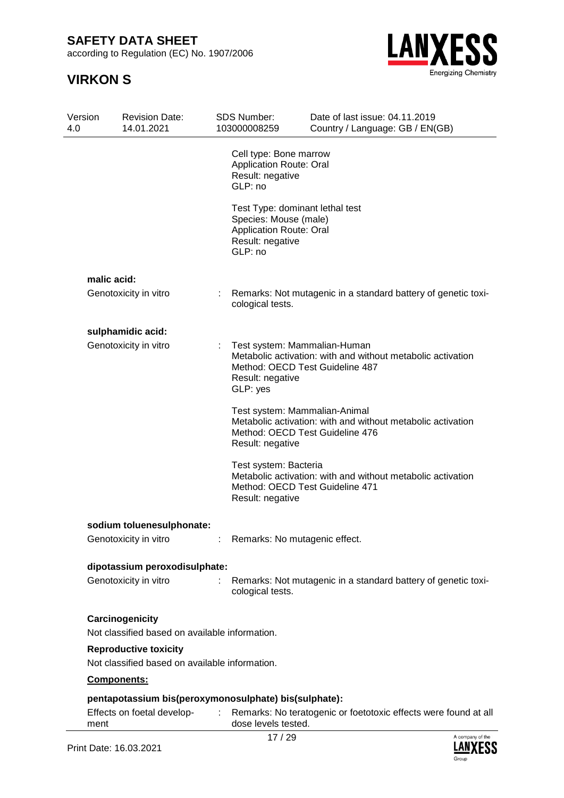according to Regulation (EC) No. 1907/2006



| Version<br>4.0 | <b>Revision Date:</b><br>14.01.2021                                            | SDS Number:<br>103000008259                                                             | Date of last issue: 04.11.2019<br>Country / Language: GB / EN(GB)                                                               |
|----------------|--------------------------------------------------------------------------------|-----------------------------------------------------------------------------------------|---------------------------------------------------------------------------------------------------------------------------------|
|                |                                                                                | Cell type: Bone marrow<br><b>Application Route: Oral</b><br>Result: negative<br>GLP: no |                                                                                                                                 |
|                |                                                                                | Species: Mouse (male)<br><b>Application Route: Oral</b><br>Result: negative<br>GLP: no  | Test Type: dominant lethal test                                                                                                 |
|                | malic acid:                                                                    |                                                                                         |                                                                                                                                 |
|                | Genotoxicity in vitro                                                          | t.<br>cological tests.                                                                  | Remarks: Not mutagenic in a standard battery of genetic toxi-                                                                   |
|                | sulphamidic acid:                                                              |                                                                                         |                                                                                                                                 |
|                | Genotoxicity in vitro                                                          | Result: negative<br>GLP: yes                                                            | Test system: Mammalian-Human<br>Metabolic activation: with and without metabolic activation<br>Method: OECD Test Guideline 487  |
|                |                                                                                | Result: negative                                                                        | Test system: Mammalian-Animal<br>Metabolic activation: with and without metabolic activation<br>Method: OECD Test Guideline 476 |
|                |                                                                                | Test system: Bacteria<br>Result: negative                                               | Metabolic activation: with and without metabolic activation<br>Method: OECD Test Guideline 471                                  |
|                | sodium toluenesulphonate:                                                      |                                                                                         |                                                                                                                                 |
|                | Genotoxicity in vitro                                                          |                                                                                         | Remarks: No mutagenic effect.                                                                                                   |
|                | dipotassium peroxodisulphate:                                                  |                                                                                         |                                                                                                                                 |
|                | Genotoxicity in vitro                                                          | cological tests.                                                                        | Remarks: Not mutagenic in a standard battery of genetic toxi-                                                                   |
|                | Carcinogenicity                                                                |                                                                                         |                                                                                                                                 |
|                | Not classified based on available information.                                 |                                                                                         |                                                                                                                                 |
|                | <b>Reproductive toxicity</b><br>Not classified based on available information. |                                                                                         |                                                                                                                                 |
|                | Components:                                                                    |                                                                                         |                                                                                                                                 |
|                | pentapotassium bis(peroxymonosulphate) bis(sulphate):                          |                                                                                         |                                                                                                                                 |
| ment           | Effects on foetal develop-                                                     | dose levels tested.                                                                     | Remarks: No teratogenic or foetotoxic effects were found at all                                                                 |
|                |                                                                                | 17/20                                                                                   | A company of the                                                                                                                |

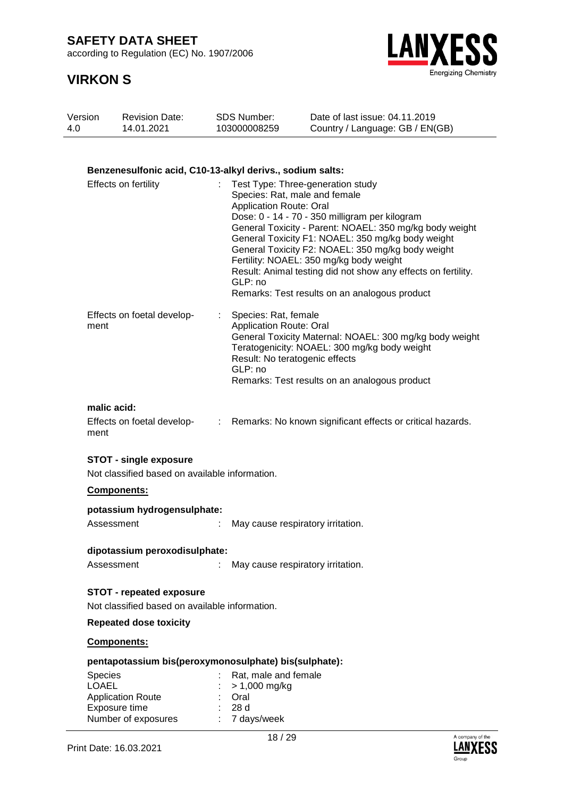according to Regulation (EC) No. 1907/2006

## **VIRKON S**



| 4.0 | Version<br><b>Revision Date:</b><br>14.01.2021                                                                                       | <b>SDS Number:</b><br>103000008259 |                                                        | Date of last issue: 04.11.2019<br>Country / Language: GB / EN(GB)                                                                                                                                                                                                                                                                                                                                                                                      |
|-----|--------------------------------------------------------------------------------------------------------------------------------------|------------------------------------|--------------------------------------------------------|--------------------------------------------------------------------------------------------------------------------------------------------------------------------------------------------------------------------------------------------------------------------------------------------------------------------------------------------------------------------------------------------------------------------------------------------------------|
|     |                                                                                                                                      |                                    |                                                        |                                                                                                                                                                                                                                                                                                                                                                                                                                                        |
|     | Benzenesulfonic acid, C10-13-alkyl derivs., sodium salts:                                                                            |                                    |                                                        |                                                                                                                                                                                                                                                                                                                                                                                                                                                        |
|     | Effects on fertility                                                                                                                 | GLP: no                            | <b>Application Route: Oral</b>                         | Test Type: Three-generation study<br>Species: Rat, male and female<br>Dose: 0 - 14 - 70 - 350 milligram per kilogram<br>General Toxicity - Parent: NOAEL: 350 mg/kg body weight<br>General Toxicity F1: NOAEL: 350 mg/kg body weight<br>General Toxicity F2: NOAEL: 350 mg/kg body weight<br>Fertility: NOAEL: 350 mg/kg body weight<br>Result: Animal testing did not show any effects on fertility.<br>Remarks: Test results on an analogous product |
|     | Effects on foetal develop-<br>ment                                                                                                   | GLP: no                            | Species: Rat, female<br><b>Application Route: Oral</b> | General Toxicity Maternal: NOAEL: 300 mg/kg body weight<br>Teratogenicity: NOAEL: 300 mg/kg body weight<br>Result: No teratogenic effects<br>Remarks: Test results on an analogous product                                                                                                                                                                                                                                                             |
|     | malic acid:<br>Effects on foetal develop-<br>ment                                                                                    | ÷                                  |                                                        | Remarks: No known significant effects or critical hazards.                                                                                                                                                                                                                                                                                                                                                                                             |
|     | <b>STOT - single exposure</b><br>Not classified based on available information.                                                      |                                    |                                                        |                                                                                                                                                                                                                                                                                                                                                                                                                                                        |
|     | <b>Components:</b>                                                                                                                   |                                    |                                                        |                                                                                                                                                                                                                                                                                                                                                                                                                                                        |
|     | potassium hydrogensulphate:                                                                                                          |                                    |                                                        |                                                                                                                                                                                                                                                                                                                                                                                                                                                        |
|     | Assessment                                                                                                                           |                                    |                                                        | May cause respiratory irritation.                                                                                                                                                                                                                                                                                                                                                                                                                      |
|     | dipotassium peroxodisulphate:<br>Assessment                                                                                          | t.                                 |                                                        | May cause respiratory irritation.                                                                                                                                                                                                                                                                                                                                                                                                                      |
|     | <b>STOT - repeated exposure</b><br>Not classified based on available information.                                                    |                                    |                                                        |                                                                                                                                                                                                                                                                                                                                                                                                                                                        |
|     | <b>Repeated dose toxicity</b>                                                                                                        |                                    |                                                        |                                                                                                                                                                                                                                                                                                                                                                                                                                                        |
|     | Components:                                                                                                                          |                                    |                                                        |                                                                                                                                                                                                                                                                                                                                                                                                                                                        |
|     | pentapotassium bis(peroxymonosulphate) bis(sulphate):<br><b>Species</b><br><b>LOAEL</b><br><b>Application Route</b><br>Exposure time | Oral<br>28 d                       | Rat, male and female<br>> 1,000 mg/kg                  |                                                                                                                                                                                                                                                                                                                                                                                                                                                        |

Number of exposures : 7 days/week

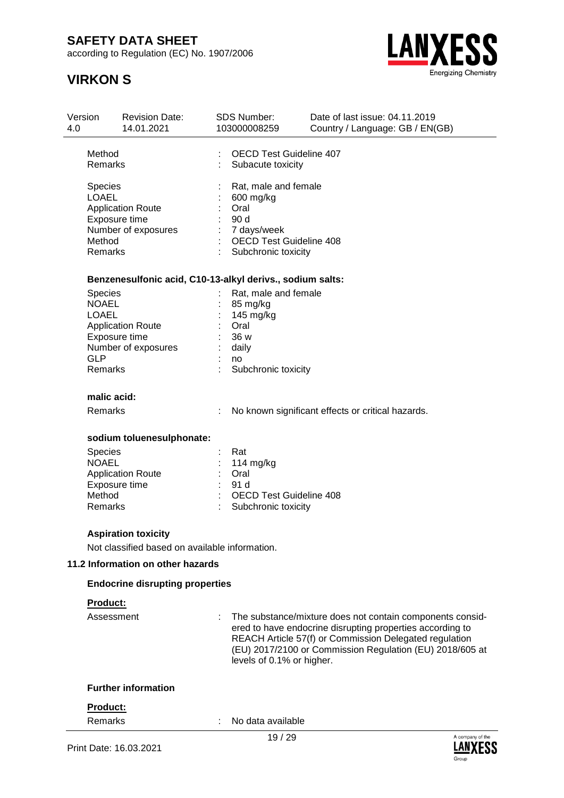according to Regulation (EC) No. 1907/2006

## **VIRKON S**



Group

| Version<br>4.0 | <b>Revision Date:</b><br>14.01.2021                       | <b>SDS Number:</b><br>103000008259 | Date of last issue: 04.11.2019<br>Country / Language: GB / EN(GB)                                                                                                                                                                            |
|----------------|-----------------------------------------------------------|------------------------------------|----------------------------------------------------------------------------------------------------------------------------------------------------------------------------------------------------------------------------------------------|
| Method         |                                                           | <b>OECD Test Guideline 407</b>     |                                                                                                                                                                                                                                              |
|                | Remarks                                                   | Subacute toxicity                  |                                                                                                                                                                                                                                              |
|                |                                                           | Rat, male and female               |                                                                                                                                                                                                                                              |
|                | Species<br><b>LOAEL</b>                                   | 600 mg/kg                          |                                                                                                                                                                                                                                              |
|                | <b>Application Route</b>                                  | Oral                               |                                                                                                                                                                                                                                              |
|                | Exposure time                                             | 90 d                               |                                                                                                                                                                                                                                              |
|                | Number of exposures                                       | 7 days/week                        |                                                                                                                                                                                                                                              |
|                | Method                                                    | <b>OECD Test Guideline 408</b>     |                                                                                                                                                                                                                                              |
|                | Remarks                                                   | Subchronic toxicity                |                                                                                                                                                                                                                                              |
|                | Benzenesulfonic acid, C10-13-alkyl derivs., sodium salts: |                                    |                                                                                                                                                                                                                                              |
|                | <b>Species</b>                                            | Rat, male and female               |                                                                                                                                                                                                                                              |
|                | <b>NOAEL</b>                                              | 85 mg/kg                           |                                                                                                                                                                                                                                              |
|                | <b>LOAEL</b>                                              | 145 mg/kg                          |                                                                                                                                                                                                                                              |
|                | <b>Application Route</b>                                  | Oral                               |                                                                                                                                                                                                                                              |
|                | Exposure time                                             | 36 w                               |                                                                                                                                                                                                                                              |
|                | Number of exposures                                       | daily                              |                                                                                                                                                                                                                                              |
| <b>GLP</b>     |                                                           | no                                 |                                                                                                                                                                                                                                              |
|                | Remarks                                                   | Subchronic toxicity                |                                                                                                                                                                                                                                              |
|                | malic acid:                                               |                                    |                                                                                                                                                                                                                                              |
|                | Remarks                                                   |                                    | No known significant effects or critical hazards.                                                                                                                                                                                            |
|                |                                                           |                                    |                                                                                                                                                                                                                                              |
|                | sodium toluenesulphonate:                                 |                                    |                                                                                                                                                                                                                                              |
|                | <b>Species</b>                                            | Rat                                |                                                                                                                                                                                                                                              |
|                | <b>NOAEL</b>                                              | 114 mg/kg                          |                                                                                                                                                                                                                                              |
|                | <b>Application Route</b><br>Exposure time                 | Oral<br>91 d                       |                                                                                                                                                                                                                                              |
|                | Method                                                    | <b>OECD Test Guideline 408</b>     |                                                                                                                                                                                                                                              |
|                | Remarks                                                   | Subchronic toxicity                |                                                                                                                                                                                                                                              |
|                | <b>Aspiration toxicity</b>                                |                                    |                                                                                                                                                                                                                                              |
|                | Not classified based on available information.            |                                    |                                                                                                                                                                                                                                              |
|                | 11.2 Information on other hazards                         |                                    |                                                                                                                                                                                                                                              |
|                |                                                           |                                    |                                                                                                                                                                                                                                              |
|                | <b>Endocrine disrupting properties</b>                    |                                    |                                                                                                                                                                                                                                              |
|                | Product:                                                  |                                    |                                                                                                                                                                                                                                              |
|                | Assessment                                                | levels of 0.1% or higher.          | The substance/mixture does not contain components consid-<br>ered to have endocrine disrupting properties according to<br>REACH Article 57(f) or Commission Delegated regulation<br>(EU) 2017/2100 or Commission Regulation (EU) 2018/605 at |
|                | <b>Further information</b>                                |                                    |                                                                                                                                                                                                                                              |
|                |                                                           |                                    |                                                                                                                                                                                                                                              |
|                | Product:                                                  |                                    |                                                                                                                                                                                                                                              |
|                | <b>Remarks</b>                                            | No data available                  |                                                                                                                                                                                                                                              |
|                |                                                           | 19/29                              | A company of the                                                                                                                                                                                                                             |
|                | Print Date: 16.03.2021                                    |                                    |                                                                                                                                                                                                                                              |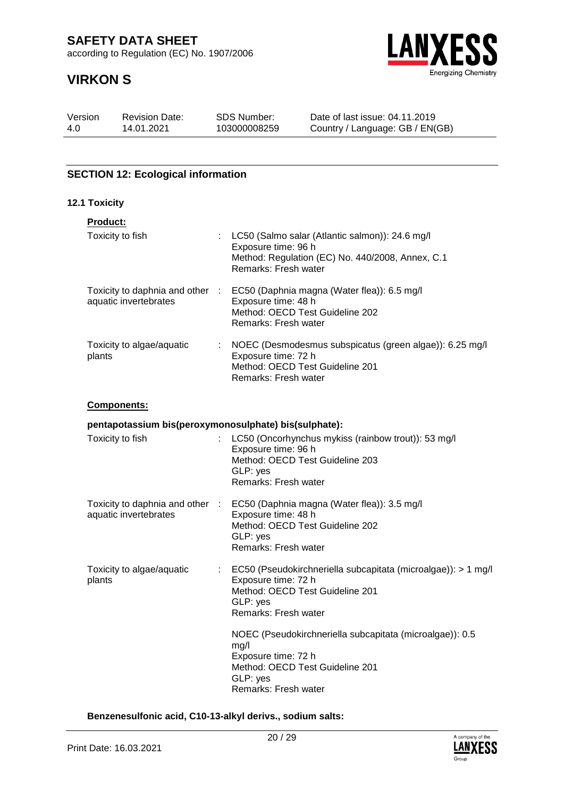according to Regulation (EC) No. 1907/2006

# **VIRKON S**



| Version | <b>Revision Date:</b> | SDS Number:  | Date of last issue: 04.11.2019  |
|---------|-----------------------|--------------|---------------------------------|
| 4.0     | 14.01.2021            | 103000008259 | Country / Language: GB / EN(GB) |

### **SECTION 12: Ecological information**

### **12.1 Toxicity**

| <b>Product:</b>                                          |    |                                                                                                                                                    |
|----------------------------------------------------------|----|----------------------------------------------------------------------------------------------------------------------------------------------------|
| Toxicity to fish                                         |    | LC50 (Salmo salar (Atlantic salmon)): 24.6 mg/l<br>Exposure time: 96 h<br>Method: Regulation (EC) No. 440/2008, Annex, C.1<br>Remarks: Fresh water |
| Toxicity to daphnia and other :<br>aquatic invertebrates |    | EC50 (Daphnia magna (Water flea)): 6.5 mg/l<br>Exposure time: 48 h<br>Method: OECD Test Guideline 202<br>Remarks: Fresh water                      |
| Toxicity to algae/aquatic<br>plants                      | ÷. | NOEC (Desmodesmus subspicatus (green algae)): 6.25 mg/l<br>Exposure time: 72 h<br>Method: OECD Test Guideline 201<br>Remarks: Fresh water          |

#### **Components:**

**pentapotassium bis(peroxymonosulphate) bis(sulphate):**

| Toxicity to fish                                         |   | LC50 (Oncorhynchus mykiss (rainbow trout)): 53 mg/l<br>Exposure time: 96 h<br>Method: OECD Test Guideline 203<br>GLP: yes<br>Remarks: Fresh water              |
|----------------------------------------------------------|---|----------------------------------------------------------------------------------------------------------------------------------------------------------------|
| Toxicity to daphnia and other :<br>aquatic invertebrates |   | EC50 (Daphnia magna (Water flea)): 3.5 mg/l<br>Exposure time: 48 h<br>Method: OECD Test Guideline 202<br>GLP: yes<br>Remarks: Fresh water                      |
| Toxicity to algae/aquatic<br>plants                      | ÷ | EC50 (Pseudokirchneriella subcapitata (microalgae)): > 1 mg/l<br>Exposure time: 72 h<br>Method: OECD Test Guideline 201<br>GLP: yes<br>Remarks: Fresh water    |
|                                                          |   | NOEC (Pseudokirchneriella subcapitata (microalgae)): 0.5<br>mg/l<br>Exposure time: 72 h<br>Method: OECD Test Guideline 201<br>GLP: yes<br>Remarks: Fresh water |

#### **Benzenesulfonic acid, C10-13-alkyl derivs., sodium salts:**

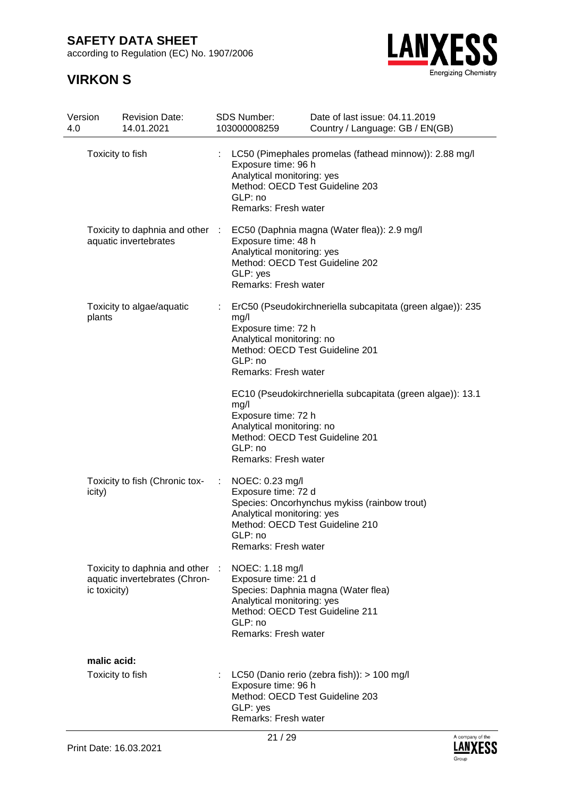according to Regulation (EC) No. 1907/2006



| Version<br>4.0 | <b>Revision Date:</b><br>14.01.2021                            |              | SDS Number:<br>103000008259                                                                                                                                             | Date of last issue: 04.11.2019<br>Country / Language: GB / EN(GB) |
|----------------|----------------------------------------------------------------|--------------|-------------------------------------------------------------------------------------------------------------------------------------------------------------------------|-------------------------------------------------------------------|
|                | Toxicity to fish                                               |              | Exposure time: 96 h<br>Analytical monitoring: yes<br>Method: OECD Test Guideline 203<br>GLP: no<br>Remarks: Fresh water                                                 | LC50 (Pimephales promelas (fathead minnow)): 2.88 mg/l            |
|                | Toxicity to daphnia and other<br>aquatic invertebrates         | $\mathbb{R}$ | EC50 (Daphnia magna (Water flea)): 2.9 mg/l<br>Exposure time: 48 h<br>Analytical monitoring: yes<br>Method: OECD Test Guideline 202<br>GLP: yes<br>Remarks: Fresh water |                                                                   |
| plants         | Toxicity to algae/aquatic                                      |              | mg/l<br>Exposure time: 72 h<br>Analytical monitoring: no<br>Method: OECD Test Guideline 201<br>GLP: no<br>Remarks: Fresh water                                          | ErC50 (Pseudokirchneriella subcapitata (green algae)): 235        |
|                |                                                                |              | mg/l<br>Exposure time: 72 h<br>Analytical monitoring: no<br>Method: OECD Test Guideline 201<br>GLP: no<br>Remarks: Fresh water                                          | EC10 (Pseudokirchneriella subcapitata (green algae)): 13.1        |
| icity)         | Toxicity to fish (Chronic tox-                                 |              | NOEC: 0.23 mg/l<br>Exposure time: 72 d<br>Analytical monitoring: yes<br>Method: OECD Test Guideline 210<br>GLP: no<br>Remarks: Fresh water                              | Species: Oncorhynchus mykiss (rainbow trout)                      |
| ic toxicity)   | Toxicity to daphnia and other<br>aquatic invertebrates (Chron- |              | NOEC: 1.18 mg/l<br>Exposure time: 21 d<br>Analytical monitoring: yes<br>Method: OECD Test Guideline 211<br>GLP: no<br>Remarks: Fresh water                              | Species: Daphnia magna (Water flea)                               |
| malic acid:    | Toxicity to fish                                               |              | Exposure time: 96 h<br>Method: OECD Test Guideline 203<br>GLP: yes<br>Remarks: Fresh water                                                                              | LC50 (Danio rerio (zebra fish)): > 100 mg/l                       |

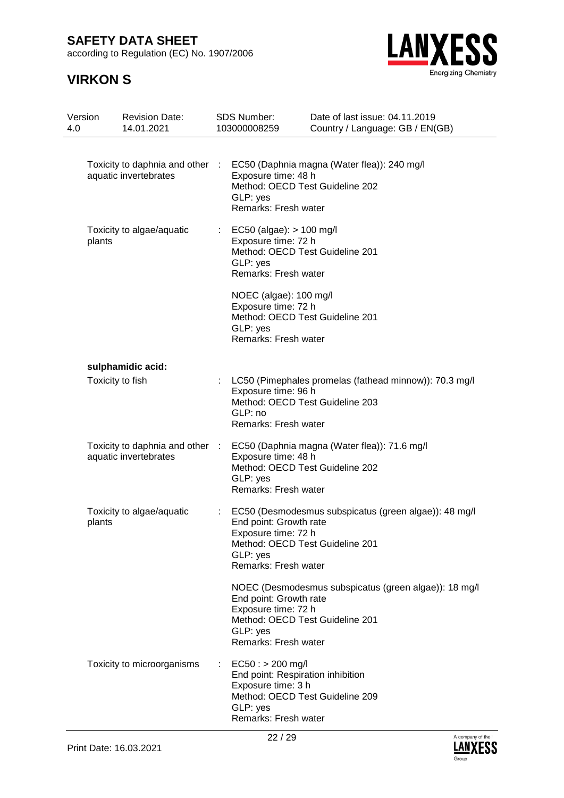according to Regulation (EC) No. 1907/2006



| Version<br>4.0 |                  | <b>Revision Date:</b><br>14.01.2021                      |                           | <b>SDS Number:</b><br>103000008259                                                                                                                   | Date of last issue: 04.11.2019<br>Country / Language: GB / EN(GB) |
|----------------|------------------|----------------------------------------------------------|---------------------------|------------------------------------------------------------------------------------------------------------------------------------------------------|-------------------------------------------------------------------|
|                |                  | Toxicity to daphnia and other :<br>aquatic invertebrates |                           | Exposure time: 48 h<br>Method: OECD Test Guideline 202<br>GLP: yes<br>Remarks: Fresh water                                                           | EC50 (Daphnia magna (Water flea)): 240 mg/l                       |
|                | plants           | Toxicity to algae/aquatic                                | $\mathbb{Z}^{\mathbb{Z}}$ | EC50 (algae): $> 100$ mg/l<br>Exposure time: 72 h<br>Method: OECD Test Guideline 201<br>GLP: yes<br>Remarks: Fresh water                             |                                                                   |
|                |                  |                                                          |                           | NOEC (algae): 100 mg/l<br>Exposure time: 72 h<br>Method: OECD Test Guideline 201<br>GLP: yes<br>Remarks: Fresh water                                 |                                                                   |
|                |                  | sulphamidic acid:                                        |                           |                                                                                                                                                      |                                                                   |
|                | Toxicity to fish |                                                          |                           | Exposure time: 96 h<br>Method: OECD Test Guideline 203<br>GLP: no<br>Remarks: Fresh water                                                            | LC50 (Pimephales promelas (fathead minnow)): 70.3 mg/l            |
|                |                  | Toxicity to daphnia and other :<br>aquatic invertebrates |                           | Exposure time: 48 h<br>Method: OECD Test Guideline 202<br>GLP: yes<br>Remarks: Fresh water                                                           | EC50 (Daphnia magna (Water flea)): 71.6 mg/l                      |
|                | plants           | Toxicity to algae/aquatic                                |                           | End point: Growth rate<br>Exposure time: 72 h<br>Method: OECD Test Guideline 201<br>GLP: yes<br>Remarks: Fresh water                                 | EC50 (Desmodesmus subspicatus (green algae)): 48 mg/l             |
|                |                  |                                                          |                           | End point: Growth rate<br>Exposure time: 72 h<br>Method: OECD Test Guideline 201<br>GLP: yes<br>Remarks: Fresh water                                 | NOEC (Desmodesmus subspicatus (green algae)): 18 mg/l             |
|                |                  | Toxicity to microorganisms                               |                           | $EC50:$ > 200 mg/l<br>End point: Respiration inhibition<br>Exposure time: 3 h<br>Method: OECD Test Guideline 209<br>GLP: yes<br>Remarks: Fresh water |                                                                   |

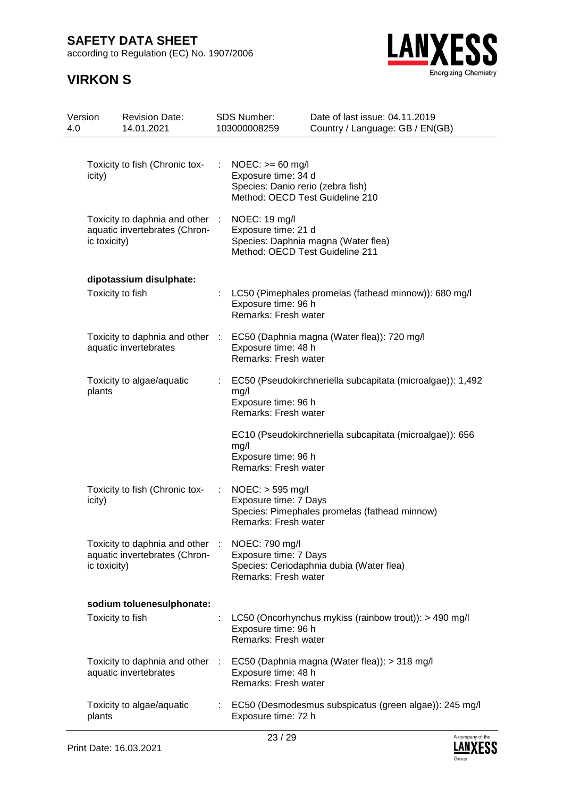according to Regulation (EC) No. 1907/2006



| Version<br>4.0 |                  | <b>Revision Date:</b><br>14.01.2021                              | <b>SDS Number:</b><br>103000008259                                                                                | Date of last issue: 04.11.2019<br>Country / Language: GB / EN(GB) |
|----------------|------------------|------------------------------------------------------------------|-------------------------------------------------------------------------------------------------------------------|-------------------------------------------------------------------|
|                | icity)           | Toxicity to fish (Chronic tox-                                   | $NOEC: == 60$ mg/l<br>Exposure time: 34 d<br>Species: Danio rerio (zebra fish)<br>Method: OECD Test Guideline 210 |                                                                   |
|                | ic toxicity)     | Toxicity to daphnia and other :<br>aquatic invertebrates (Chron- | NOEC: 19 mg/l<br>Exposure time: 21 d<br>Method: OECD Test Guideline 211                                           | Species: Daphnia magna (Water flea)                               |
|                | Toxicity to fish | dipotassium disulphate:                                          | Exposure time: 96 h<br>Remarks: Fresh water                                                                       | LC50 (Pimephales promelas (fathead minnow)): 680 mg/l             |
|                |                  | Toxicity to daphnia and other :<br>aquatic invertebrates         | Exposure time: 48 h<br>Remarks: Fresh water                                                                       | EC50 (Daphnia magna (Water flea)): 720 mg/l                       |
|                | plants           | Toxicity to algae/aquatic                                        | mg/l<br>Exposure time: 96 h<br>Remarks: Fresh water                                                               | EC50 (Pseudokirchneriella subcapitata (microalgae)): 1,492        |
|                |                  |                                                                  | mg/l<br>Exposure time: 96 h<br>Remarks: Fresh water                                                               | EC10 (Pseudokirchneriella subcapitata (microalgae)): 656          |
|                | icity)           | Toxicity to fish (Chronic tox-                                   | $NOEC:$ > 595 mg/l<br>Exposure time: 7 Days<br>Remarks: Fresh water                                               | Species: Pimephales promelas (fathead minnow)                     |
|                | ic toxicity)     | Toxicity to daphnia and other :<br>aquatic invertebrates (Chron- | NOEC: 790 mg/l<br>Exposure time: 7 Days<br>Remarks: Fresh water                                                   | Species: Ceriodaphnia dubia (Water flea)                          |
|                |                  | sodium toluenesulphonate:                                        |                                                                                                                   |                                                                   |
|                | Toxicity to fish |                                                                  | Exposure time: 96 h<br>Remarks: Fresh water                                                                       | LC50 (Oncorhynchus mykiss (rainbow trout)): > 490 mg/l            |
|                |                  | Toxicity to daphnia and other :<br>aquatic invertebrates         | Exposure time: 48 h<br>Remarks: Fresh water                                                                       | EC50 (Daphnia magna (Water flea)): > 318 mg/l                     |
|                | plants           | Toxicity to algae/aquatic                                        | Exposure time: 72 h                                                                                               | EC50 (Desmodesmus subspicatus (green algae)): 245 mg/l            |

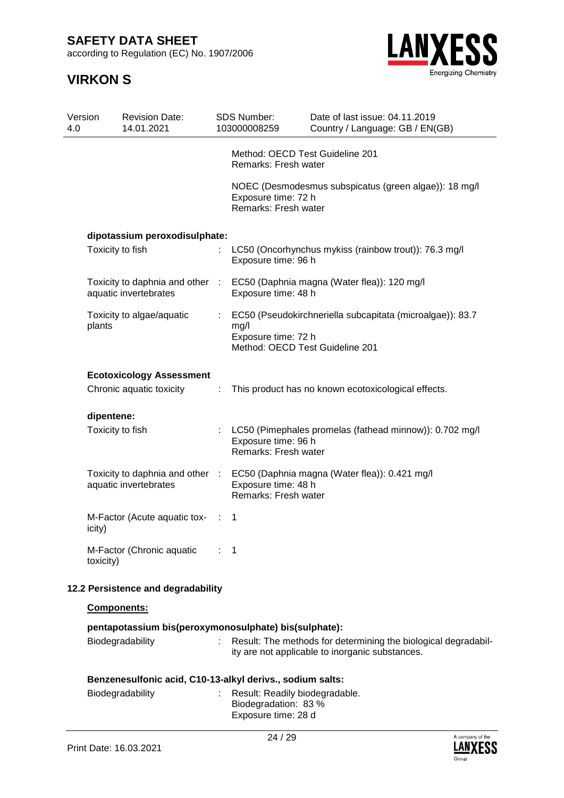according to Regulation (EC) No. 1907/2006

# **VIRKON S**



| Version<br>4.0 |            | <b>Revision Date:</b><br>14.01.2021                      |           | <b>SDS Number:</b><br>103000008259                             | Date of last issue: 04.11.2019<br>Country / Language: GB / EN(GB) |
|----------------|------------|----------------------------------------------------------|-----------|----------------------------------------------------------------|-------------------------------------------------------------------|
|                |            |                                                          |           | Method: OECD Test Guideline 201<br>Remarks: Fresh water        |                                                                   |
|                |            |                                                          |           | Exposure time: 72 h<br>Remarks: Fresh water                    | NOEC (Desmodesmus subspicatus (green algae)): 18 mg/l             |
|                |            | dipotassium peroxodisulphate:                            |           |                                                                |                                                                   |
|                |            | Toxicity to fish                                         |           | Exposure time: 96 h                                            | LC50 (Oncorhynchus mykiss (rainbow trout)): 76.3 mg/l             |
|                |            | Toxicity to daphnia and other<br>aquatic invertebrates   | $\sim 10$ | Exposure time: 48 h                                            | EC50 (Daphnia magna (Water flea)): 120 mg/l                       |
|                | plants     | Toxicity to algae/aquatic                                |           | mg/l<br>Exposure time: 72 h<br>Method: OECD Test Guideline 201 | EC50 (Pseudokirchneriella subcapitata (microalgae)): 83.7         |
|                |            | <b>Ecotoxicology Assessment</b>                          |           |                                                                |                                                                   |
|                |            | Chronic aquatic toxicity                                 | ÷         |                                                                | This product has no known ecotoxicological effects.               |
|                | dipentene: |                                                          |           |                                                                |                                                                   |
|                |            | Toxicity to fish                                         |           | Exposure time: 96 h<br>Remarks: Fresh water                    | LC50 (Pimephales promelas (fathead minnow)): 0.702 mg/l           |
|                |            | Toxicity to daphnia and other :<br>aquatic invertebrates |           | Exposure time: 48 h<br>Remarks: Fresh water                    | EC50 (Daphnia magna (Water flea)): 0.421 mg/l                     |
|                | icity)     | M-Factor (Acute aquatic tox-                             | ÷         | 1                                                              |                                                                   |
|                | toxicity)  | M-Factor (Chronic aquatic                                |           | $\mathbf 1$                                                    |                                                                   |
|                |            | 12.2 Persistence and degradability                       |           |                                                                |                                                                   |

**Components:**

|                  | pentapotassium bis(peroxymonosulphate) bis(sulphate):                                                             |
|------------------|-------------------------------------------------------------------------------------------------------------------|
| Biodegradability | Result: The methods for determining the biological degradabil-<br>ity are not applicable to inorganic substances. |
|                  | Benzenesulfonic acid, C10-13-alkyl derivs., sodium salts:                                                         |
| Biodegradability | Result: Readily biodegradable.<br>Biodegradation: 83 %                                                            |

Exposure time: 28 d

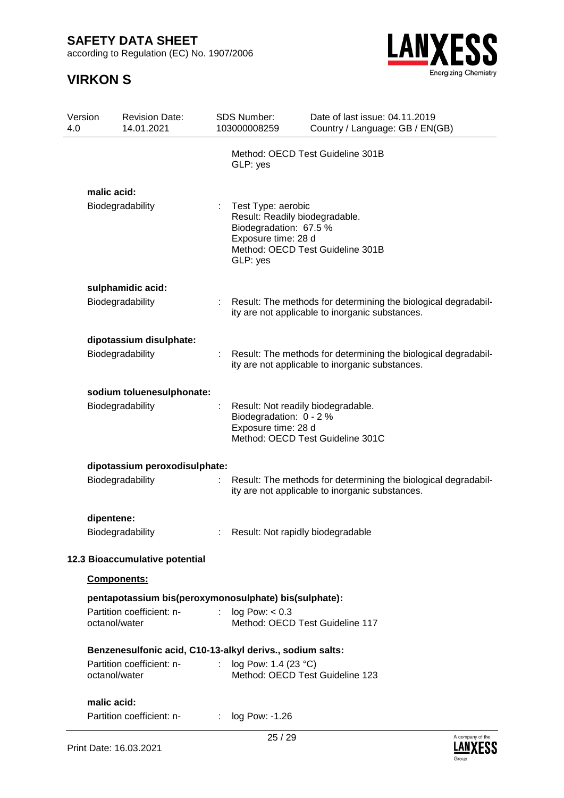according to Regulation (EC) No. 1907/2006



| Version<br>4.0 |               | <b>Revision Date:</b><br>14.01.2021                       |                | <b>SDS Number:</b><br>103000008259                                                                                | Date of last issue: 04.11.2019<br>Country / Language: GB / EN(GB)                                                 |
|----------------|---------------|-----------------------------------------------------------|----------------|-------------------------------------------------------------------------------------------------------------------|-------------------------------------------------------------------------------------------------------------------|
|                |               |                                                           |                | GLP: yes                                                                                                          | Method: OECD Test Guideline 301B                                                                                  |
|                | malic acid:   | Biodegradability                                          |                | Test Type: aerobic<br>Result: Readily biodegradable.<br>Biodegradation: 67.5 %<br>Exposure time: 28 d<br>GLP: yes | Method: OECD Test Guideline 301B                                                                                  |
|                |               | sulphamidic acid:                                         |                |                                                                                                                   |                                                                                                                   |
|                |               | Biodegradability                                          | t.             |                                                                                                                   | Result: The methods for determining the biological degradabil-<br>ity are not applicable to inorganic substances. |
|                |               | dipotassium disulphate:                                   |                |                                                                                                                   |                                                                                                                   |
|                |               | Biodegradability                                          |                |                                                                                                                   | Result: The methods for determining the biological degradabil-<br>ity are not applicable to inorganic substances. |
|                |               | sodium toluenesulphonate:                                 |                |                                                                                                                   |                                                                                                                   |
|                |               | Biodegradability                                          |                | Result: Not readily biodegradable.<br>Biodegradation: 0 - 2 %<br>Exposure time: 28 d                              | Method: OECD Test Guideline 301C                                                                                  |
|                |               | dipotassium peroxodisulphate:                             |                |                                                                                                                   |                                                                                                                   |
|                |               | Biodegradability                                          |                |                                                                                                                   | Result: The methods for determining the biological degradabil-<br>ity are not applicable to inorganic substances. |
|                | dipentene:    |                                                           |                |                                                                                                                   |                                                                                                                   |
|                |               | Biodegradability                                          |                | Result: Not rapidly biodegradable                                                                                 |                                                                                                                   |
|                |               | 12.3 Bioaccumulative potential                            |                |                                                                                                                   |                                                                                                                   |
|                | Components:   |                                                           |                |                                                                                                                   |                                                                                                                   |
|                |               | pentapotassium bis(peroxymonosulphate) bis(sulphate):     |                |                                                                                                                   |                                                                                                                   |
|                | octanol/water | Partition coefficient: n-                                 |                | log Pow: < 0.3<br>Method: OECD Test Guideline 117                                                                 |                                                                                                                   |
|                |               | Benzenesulfonic acid, C10-13-alkyl derivs., sodium salts: |                |                                                                                                                   |                                                                                                                   |
|                | octanol/water | Partition coefficient: n-                                 | $\mathbb{R}^n$ | log Pow: 1.4 (23 °C)<br>Method: OECD Test Guideline 123                                                           |                                                                                                                   |
|                | malic acid:   |                                                           |                |                                                                                                                   |                                                                                                                   |
|                |               | Partition coefficient: n-                                 |                | : $log Pow: -1.26$                                                                                                |                                                                                                                   |

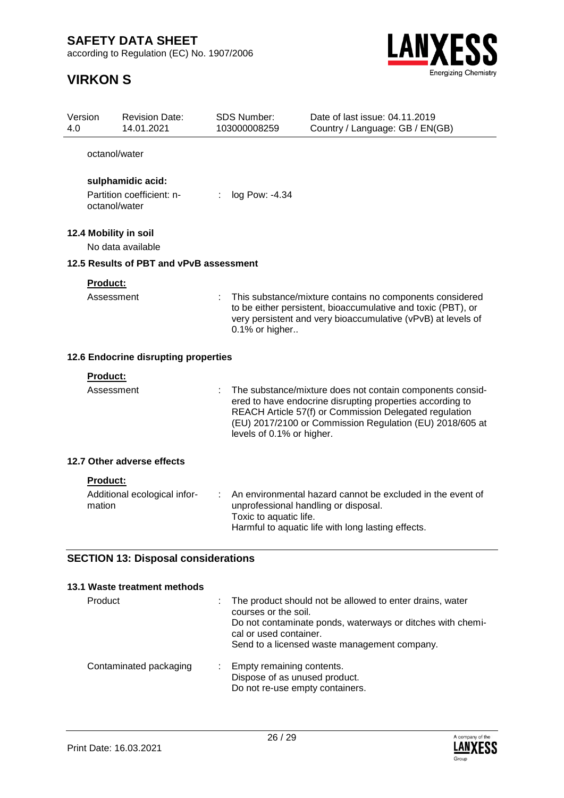according to Regulation (EC) No. 1907/2006



| Version<br>4.0 |                 | <b>Revision Date:</b><br>14.01.2021        |   | SDS Number:<br>103000008259 | Date of last issue: 04.11.2019<br>Country / Language: GB / EN(GB)                                                                                                                                                                            |
|----------------|-----------------|--------------------------------------------|---|-----------------------------|----------------------------------------------------------------------------------------------------------------------------------------------------------------------------------------------------------------------------------------------|
|                | octanol/water   |                                            |   |                             |                                                                                                                                                                                                                                              |
|                |                 | sulphamidic acid:                          |   |                             |                                                                                                                                                                                                                                              |
|                |                 | Partition coefficient: n-<br>octanol/water | ÷ | log Pow: -4.34              |                                                                                                                                                                                                                                              |
|                |                 | 12.4 Mobility in soil                      |   |                             |                                                                                                                                                                                                                                              |
|                |                 | No data available                          |   |                             |                                                                                                                                                                                                                                              |
|                |                 | 12.5 Results of PBT and vPvB assessment    |   |                             |                                                                                                                                                                                                                                              |
|                | Product:        |                                            |   |                             |                                                                                                                                                                                                                                              |
|                | Assessment      |                                            |   | 0.1% or higher              | This substance/mixture contains no components considered<br>to be either persistent, bioaccumulative and toxic (PBT), or<br>very persistent and very bioaccumulative (vPvB) at levels of                                                     |
|                |                 | 12.6 Endocrine disrupting properties       |   |                             |                                                                                                                                                                                                                                              |
|                | Product:        |                                            |   |                             |                                                                                                                                                                                                                                              |
|                | Assessment      |                                            |   | levels of 0.1% or higher.   | The substance/mixture does not contain components consid-<br>ered to have endocrine disrupting properties according to<br>REACH Article 57(f) or Commission Delegated regulation<br>(EU) 2017/2100 or Commission Regulation (EU) 2018/605 at |
|                |                 | 12.7 Other adverse effects                 |   |                             |                                                                                                                                                                                                                                              |
|                | <b>Product:</b> |                                            |   |                             |                                                                                                                                                                                                                                              |
|                | mation          | Additional ecological infor-               |   | Toxic to aquatic life.      | An environmental hazard cannot be excluded in the event of<br>unprofessional handling or disposal.<br>Harmful to aquatic life with long lasting effects.                                                                                     |
|                |                 | <b>SECTION 13: Disposal considerations</b> |   |                             |                                                                                                                                                                                                                                              |
|                |                 | 13.1 Waste treatment methods               |   |                             |                                                                                                                                                                                                                                              |

| <b>Product</b>         | The product should not be allowed to enter drains, water<br>courses or the soil.<br>Do not contaminate ponds, waterways or ditches with chemi-<br>cal or used container.<br>Send to a licensed waste management company. |
|------------------------|--------------------------------------------------------------------------------------------------------------------------------------------------------------------------------------------------------------------------|
| Contaminated packaging | Empty remaining contents.<br>Dispose of as unused product.<br>Do not re-use empty containers.                                                                                                                            |

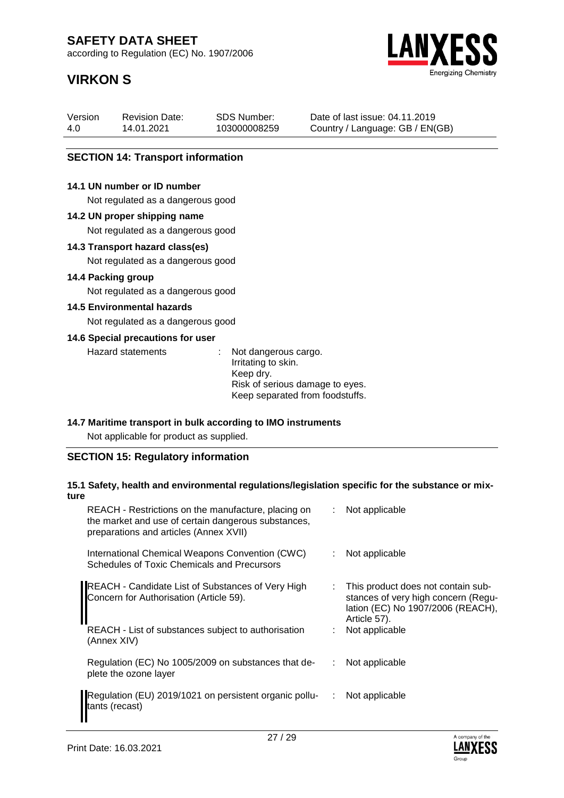according to Regulation (EC) No. 1907/2006

# **VIRKON S**



| Version | <b>Revision Date:</b> | <b>SDS Number:</b> | Date of last iss |
|---------|-----------------------|--------------------|------------------|
| 4.0     | 14.01.2021            | 103000008259       | Country / Lang   |

sue: 04.11.2019 guage: GB / EN(GB)

### **SECTION 14: Transport information**

#### **14.1 UN number or ID number**

Not regulated as a dangerous good

#### **14.2 UN proper shipping name**

Not regulated as a dangerous good

#### **14.3 Transport hazard class(es)**

Not regulated as a dangerous good

#### **14.4 Packing group**

Not regulated as a dangerous good

### **14.5 Environmental hazards**

Not regulated as a dangerous good

### **14.6 Special precautions for user**

Hazard statements : Not dangerous cargo. Irritating to skin. Keep dry. Risk of serious damage to eyes. Keep separated from foodstuffs.

#### **14.7 Maritime transport in bulk according to IMO instruments**

Not applicable for product as supplied.

### **SECTION 15: Regulatory information**

#### **15.1 Safety, health and environmental regulations/legislation specific for the substance or mixture**

| REACH - Restrictions on the manufacture, placing on<br>the market and use of certain dangerous substances,<br>preparations and articles (Annex XVII)                      |   | Not applicable                                                                                                                                   |
|---------------------------------------------------------------------------------------------------------------------------------------------------------------------------|---|--------------------------------------------------------------------------------------------------------------------------------------------------|
| International Chemical Weapons Convention (CWC)<br>Schedules of Toxic Chemicals and Precursors                                                                            |   | Not applicable                                                                                                                                   |
| <b>REACH - Candidate List of Substances of Very High</b><br>Concern for Authorisation (Article 59).<br>REACH - List of substances subject to authorisation<br>(Annex XIV) |   | This product does not contain sub-<br>stances of very high concern (Regu-<br>lation (EC) No 1907/2006 (REACH),<br>Article 57).<br>Not applicable |
| Regulation (EC) No 1005/2009 on substances that de-<br>plete the ozone layer                                                                                              |   | Not applicable                                                                                                                                   |
| Regulation (EU) 2019/1021 on persistent organic pollu-<br>tants (recast)                                                                                                  | ÷ | Not applicable                                                                                                                                   |

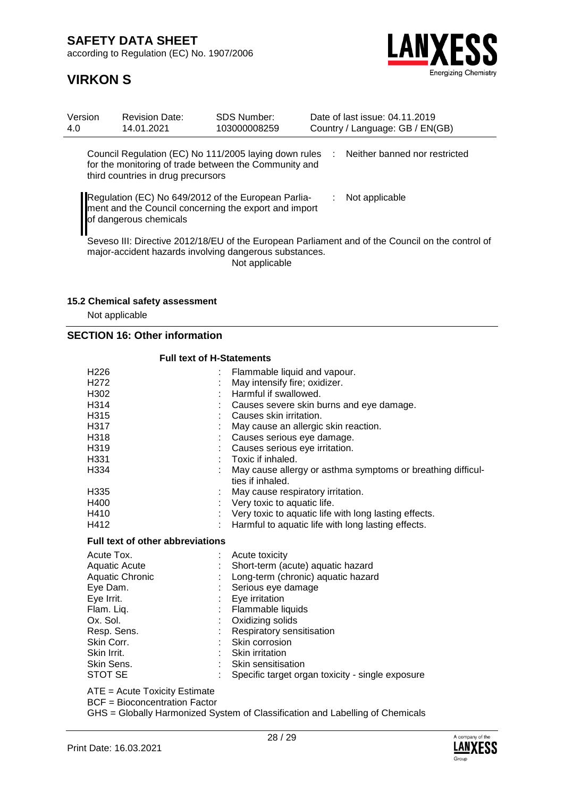according to Regulation (EC) No. 1907/2006



## **VIRKON S**

| Version<br>4.0 | <b>Revision Date:</b><br>14.01.2021 | <b>SDS Number:</b><br>103000008259                                                                             |      | Date of last issue: 04.11.2019<br>Country / Language: GB / EN(GB)                                |
|----------------|-------------------------------------|----------------------------------------------------------------------------------------------------------------|------|--------------------------------------------------------------------------------------------------|
|                | third countries in drug precursors  | Council Regulation (EC) No 111/2005 laying down rules<br>for the monitoring of trade between the Community and | di l | Neither banned nor restricted                                                                    |
|                | of dangerous chemicals              | Regulation (EC) No 649/2012 of the European Parlia-<br>ment and the Council concerning the export and import   |      | Not applicable                                                                                   |
|                |                                     | major-accident hazards involving dangerous substances.<br>Not applicable                                       |      | Seveso III: Directive 2012/18/EU of the European Parliament and of the Council on the control of |

### **15.2 Chemical safety assessment**

Not applicable

### **SECTION 16: Other information**

| <b>Full text of H-Statements</b>        |                                                             |
|-----------------------------------------|-------------------------------------------------------------|
| H <sub>226</sub>                        | Flammable liquid and vapour.                                |
| H <sub>272</sub>                        | May intensify fire; oxidizer.                               |
| H302                                    | Harmful if swallowed.                                       |
| H314                                    | Causes severe skin burns and eye damage.                    |
| H315                                    | Causes skin irritation.                                     |
| H317                                    | May cause an allergic skin reaction.                        |
| H318                                    | Causes serious eye damage.                                  |
| H <sub>3</sub> 19                       | Causes serious eye irritation.                              |
| H331                                    | Toxic if inhaled.                                           |
| H334                                    | May cause allergy or asthma symptoms or breathing difficul- |
|                                         | ties if inhaled.                                            |
| H <sub>335</sub>                        | May cause respiratory irritation.                           |
| H400                                    | : Very toxic to aquatic life.                               |
| H410                                    | : Very toxic to aquatic life with long lasting effects.     |
| H412                                    | Harmful to aquatic life with long lasting effects.          |
| <b>Full text of other abbreviations</b> |                                                             |
| Acute Tox.                              | Acute toxicity                                              |
| <b>Aquatic Acute</b>                    | Short-term (acute) aquatic hazard                           |
| <b>Aquatic Chronic</b>                  | Long-term (chronic) aquatic hazard                          |
| Eye Dam.                                | Serious eye damage                                          |
| Eye Irrit.                              | Eye irritation                                              |
| Flam. Liq.                              | Flammable liquids                                           |
| Ox. Sol.                                | Oxidizing solids                                            |
| Resp. Sens.                             | Respiratory sensitisation                                   |
| Skin Corr.                              | Skin corrosion                                              |
| Skin Irrit.                             | : Skin irritation                                           |
| Skin Sens.                              | Skin sensitisation                                          |
| <b>STOT SE</b>                          | Specific target organ toxicity - single exposure            |
| $ATE = Acute Toxicity Estimate$         |                                                             |

BCF = Bioconcentration Factor

GHS = Globally Harmonized System of Classification and Labelling of Chemicals